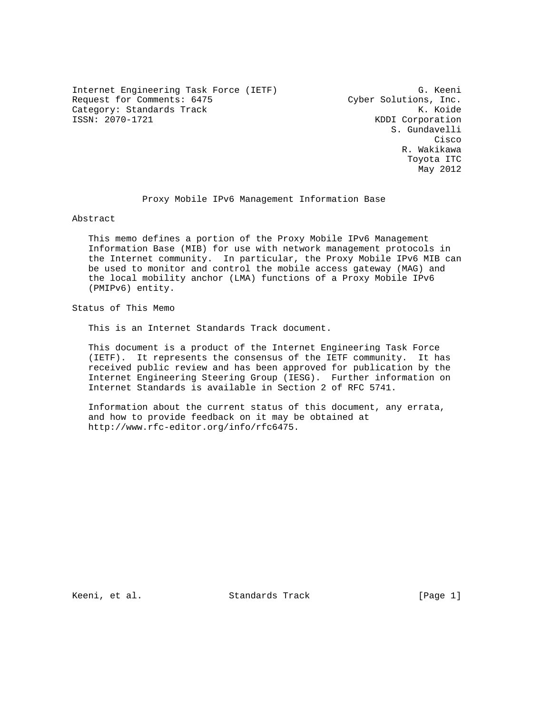Internet Engineering Task Force (IETF) G. Keeni Request for Comments: 6475 Cyber Solutions, Inc. Category: Standards Track K. Koide<br>
ISSN: 2070-1721 KDDI Corporation

KDDI Corporation S. Gundavelli **Cisco de la contrata de la contrata de la contrata de la contrata de la contrata de la contrata de la contrat**  R. Wakikawa Toyota ITC May 2012

Proxy Mobile IPv6 Management Information Base

Abstract

 This memo defines a portion of the Proxy Mobile IPv6 Management Information Base (MIB) for use with network management protocols in the Internet community. In particular, the Proxy Mobile IPv6 MIB can be used to monitor and control the mobile access gateway (MAG) and the local mobility anchor (LMA) functions of a Proxy Mobile IPv6 (PMIPv6) entity.

Status of This Memo

This is an Internet Standards Track document.

 This document is a product of the Internet Engineering Task Force (IETF). It represents the consensus of the IETF community. It has received public review and has been approved for publication by the Internet Engineering Steering Group (IESG). Further information on Internet Standards is available in Section 2 of RFC 5741.

 Information about the current status of this document, any errata, and how to provide feedback on it may be obtained at http://www.rfc-editor.org/info/rfc6475.

Keeni, et al. Standards Track [Page 1]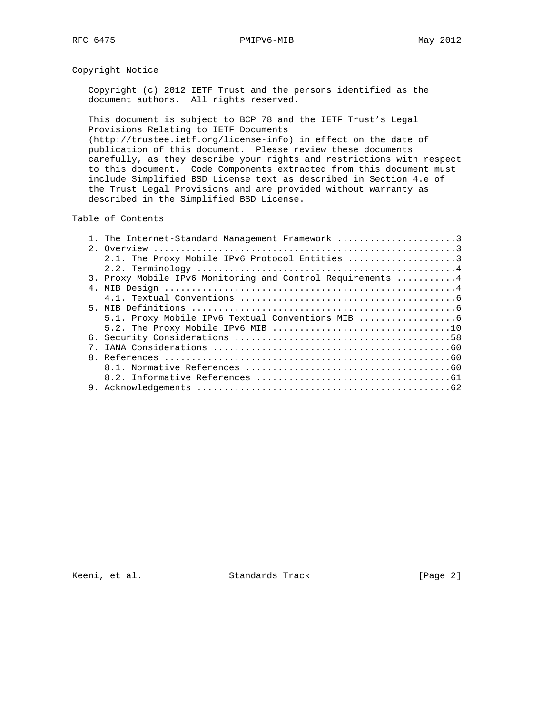# Copyright Notice

 Copyright (c) 2012 IETF Trust and the persons identified as the document authors. All rights reserved.

 This document is subject to BCP 78 and the IETF Trust's Legal Provisions Relating to IETF Documents (http://trustee.ietf.org/license-info) in effect on the date of publication of this document. Please review these documents carefully, as they describe your rights and restrictions with respect to this document. Code Components extracted from this document must include Simplified BSD License text as described in Section 4.e of the Trust Legal Provisions and are provided without warranty as described in the Simplified BSD License.

## Table of Contents

|  | 1. The Internet-Standard Management Framework 3            |
|--|------------------------------------------------------------|
|  |                                                            |
|  | 2.1. The Proxy Mobile IPv6 Protocol Entities 3             |
|  |                                                            |
|  | 3. Proxy Mobile IPv6 Monitoring and Control Requirements 4 |
|  |                                                            |
|  |                                                            |
|  |                                                            |
|  | 5.1. Proxy Mobile IPv6 Textual Conventions MIB             |
|  |                                                            |
|  |                                                            |
|  |                                                            |
|  |                                                            |
|  |                                                            |
|  |                                                            |
|  |                                                            |

Keeni, et al. Standards Track [Page 2]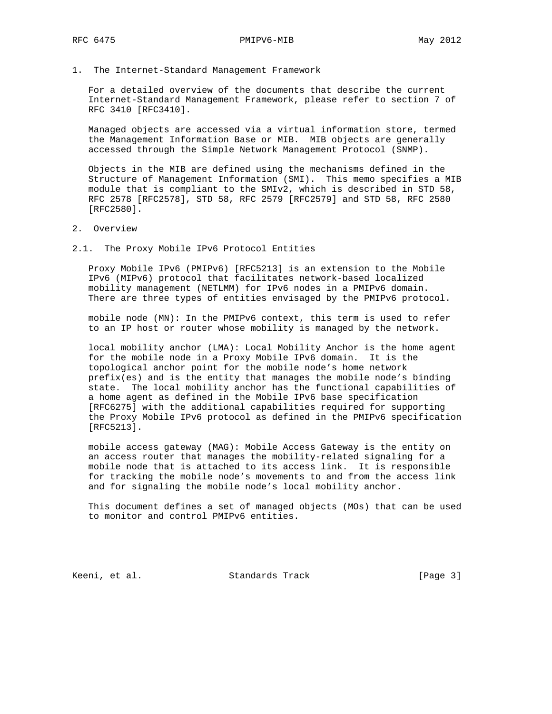1. The Internet-Standard Management Framework

 For a detailed overview of the documents that describe the current Internet-Standard Management Framework, please refer to section 7 of RFC 3410 [RFC3410].

 Managed objects are accessed via a virtual information store, termed the Management Information Base or MIB. MIB objects are generally accessed through the Simple Network Management Protocol (SNMP).

 Objects in the MIB are defined using the mechanisms defined in the Structure of Management Information (SMI). This memo specifies a MIB module that is compliant to the SMIv2, which is described in STD 58, RFC 2578 [RFC2578], STD 58, RFC 2579 [RFC2579] and STD 58, RFC 2580 [RFC2580].

2. Overview

2.1. The Proxy Mobile IPv6 Protocol Entities

 Proxy Mobile IPv6 (PMIPv6) [RFC5213] is an extension to the Mobile IPv6 (MIPv6) protocol that facilitates network-based localized mobility management (NETLMM) for IPv6 nodes in a PMIPv6 domain. There are three types of entities envisaged by the PMIPv6 protocol.

 mobile node (MN): In the PMIPv6 context, this term is used to refer to an IP host or router whose mobility is managed by the network.

 local mobility anchor (LMA): Local Mobility Anchor is the home agent for the mobile node in a Proxy Mobile IPv6 domain. It is the topological anchor point for the mobile node's home network prefix(es) and is the entity that manages the mobile node's binding state. The local mobility anchor has the functional capabilities of a home agent as defined in the Mobile IPv6 base specification [RFC6275] with the additional capabilities required for supporting the Proxy Mobile IPv6 protocol as defined in the PMIPv6 specification [RFC5213].

 mobile access gateway (MAG): Mobile Access Gateway is the entity on an access router that manages the mobility-related signaling for a mobile node that is attached to its access link. It is responsible for tracking the mobile node's movements to and from the access link and for signaling the mobile node's local mobility anchor.

 This document defines a set of managed objects (MOs) that can be used to monitor and control PMIPv6 entities.

Keeni, et al. Standards Track [Page 3]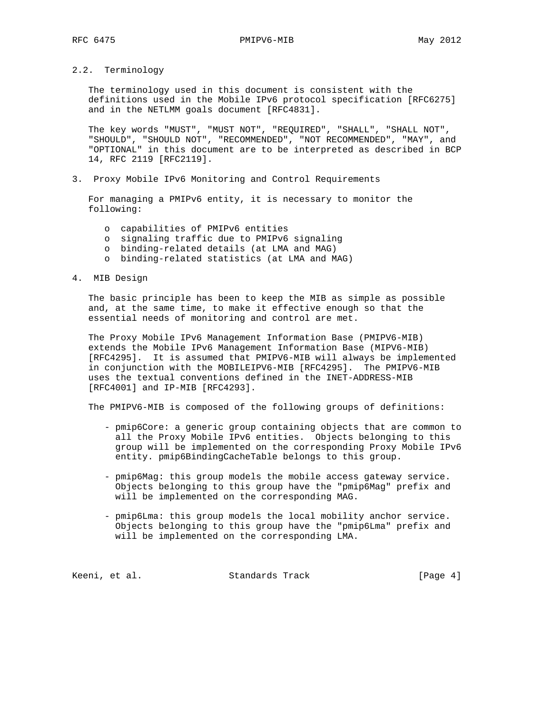2.2. Terminology

 The terminology used in this document is consistent with the definitions used in the Mobile IPv6 protocol specification [RFC6275] and in the NETLMM goals document [RFC4831].

 The key words "MUST", "MUST NOT", "REQUIRED", "SHALL", "SHALL NOT", "SHOULD", "SHOULD NOT", "RECOMMENDED", "NOT RECOMMENDED", "MAY", and "OPTIONAL" in this document are to be interpreted as described in BCP 14, RFC 2119 [RFC2119].

3. Proxy Mobile IPv6 Monitoring and Control Requirements

 For managing a PMIPv6 entity, it is necessary to monitor the following:

- o capabilities of PMIPv6 entities
- o signaling traffic due to PMIPv6 signaling
- o binding-related details (at LMA and MAG)
- o binding-related statistics (at LMA and MAG)

#### 4. MIB Design

 The basic principle has been to keep the MIB as simple as possible and, at the same time, to make it effective enough so that the essential needs of monitoring and control are met.

 The Proxy Mobile IPv6 Management Information Base (PMIPV6-MIB) extends the Mobile IPv6 Management Information Base (MIPV6-MIB) [RFC4295]. It is assumed that PMIPV6-MIB will always be implemented in conjunction with the MOBILEIPV6-MIB [RFC4295]. The PMIPV6-MIB uses the textual conventions defined in the INET-ADDRESS-MIB [RFC4001] and IP-MIB [RFC4293].

The PMIPV6-MIB is composed of the following groups of definitions:

- pmip6Core: a generic group containing objects that are common to all the Proxy Mobile IPv6 entities. Objects belonging to this group will be implemented on the corresponding Proxy Mobile IPv6 entity. pmip6BindingCacheTable belongs to this group.
- pmip6Mag: this group models the mobile access gateway service. Objects belonging to this group have the "pmip6Mag" prefix and will be implemented on the corresponding MAG.
- pmip6Lma: this group models the local mobility anchor service. Objects belonging to this group have the "pmip6Lma" prefix and will be implemented on the corresponding LMA.

Keeni, et al. Standards Track [Page 4]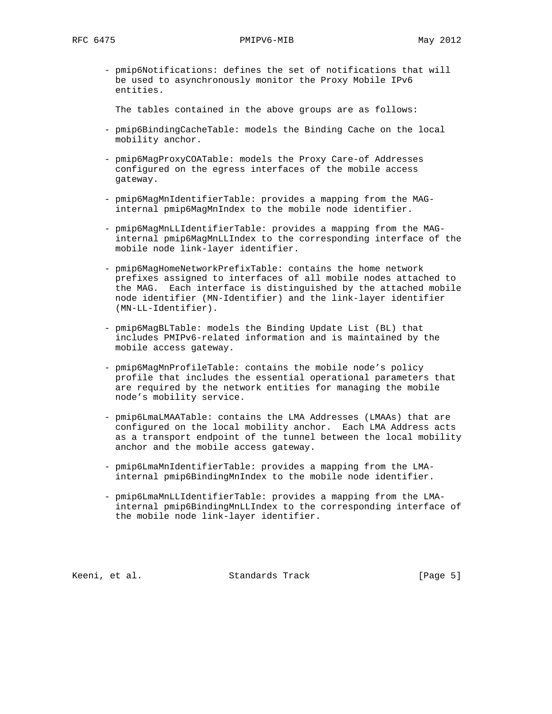- pmip6Notifications: defines the set of notifications that will be used to asynchronously monitor the Proxy Mobile IPv6 entities.

The tables contained in the above groups are as follows:

- pmip6BindingCacheTable: models the Binding Cache on the local mobility anchor.
- pmip6MagProxyCOATable: models the Proxy Care-of Addresses configured on the egress interfaces of the mobile access gateway.
- pmip6MagMnIdentifierTable: provides a mapping from the MAG internal pmip6MagMnIndex to the mobile node identifier.
- pmip6MagMnLLIdentifierTable: provides a mapping from the MAG internal pmip6MagMnLLIndex to the corresponding interface of the mobile node link-layer identifier.
- pmip6MagHomeNetworkPrefixTable: contains the home network prefixes assigned to interfaces of all mobile nodes attached to the MAG. Each interface is distinguished by the attached mobile node identifier (MN-Identifier) and the link-layer identifier (MN-LL-Identifier).
- pmip6MagBLTable: models the Binding Update List (BL) that includes PMIPv6-related information and is maintained by the mobile access gateway.
- pmip6MagMnProfileTable: contains the mobile node's policy profile that includes the essential operational parameters that are required by the network entities for managing the mobile node's mobility service.
- pmip6LmaLMAATable: contains the LMA Addresses (LMAAs) that are configured on the local mobility anchor. Each LMA Address acts as a transport endpoint of the tunnel between the local mobility anchor and the mobile access gateway.
- pmip6LmaMnIdentifierTable: provides a mapping from the LMA internal pmip6BindingMnIndex to the mobile node identifier.
- pmip6LmaMnLLIdentifierTable: provides a mapping from the LMA internal pmip6BindingMnLLIndex to the corresponding interface of the mobile node link-layer identifier.

Keeni, et al. Standards Track [Page 5]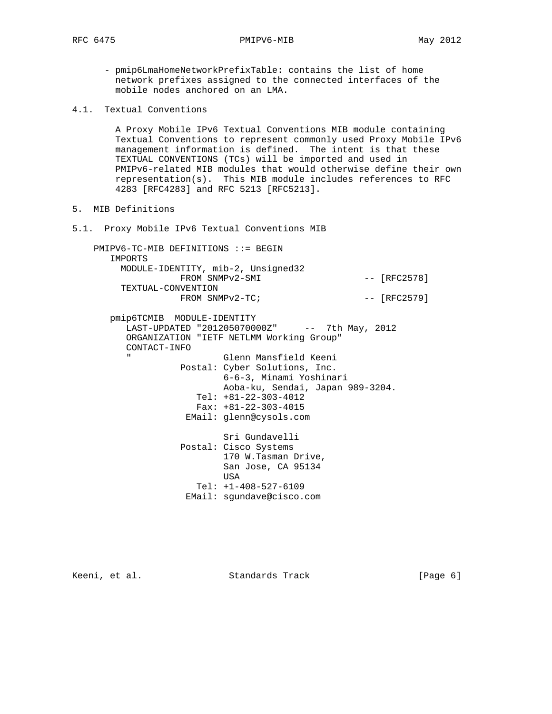- pmip6LmaHomeNetworkPrefixTable: contains the list of home network prefixes assigned to the connected interfaces of the mobile nodes anchored on an LMA.
- 4.1. Textual Conventions

 A Proxy Mobile IPv6 Textual Conventions MIB module containing Textual Conventions to represent commonly used Proxy Mobile IPv6 management information is defined. The intent is that these TEXTUAL CONVENTIONS (TCs) will be imported and used in PMIPv6-related MIB modules that would otherwise define their own representation(s). This MIB module includes references to RFC 4283 [RFC4283] and RFC 5213 [RFC5213].

- 5. MIB Definitions
- 5.1. Proxy Mobile IPv6 Textual Conventions MIB

 PMIPV6-TC-MIB DEFINITIONS ::= BEGIN IMPORTS MODULE-IDENTITY, mib-2, Unsigned32 FROM SNMPv2-SMI  $---$  [RFC2578] TEXTUAL-CONVENTION  $FROM$  SNMP $v2-TC$ ;  $[RFC2579]$ 

 pmip6TCMIB MODULE-IDENTITY -<br>LAST-UPDATED "2012050700002" -- 7th May, 2012 ORGANIZATION "IETF NETLMM Working Group" CONTACT-INFO Glenn Mansfield Keeni Postal: Cyber Solutions, Inc. 6-6-3, Minami Yoshinari Aoba-ku, Sendai, Japan 989-3204. Tel: +81-22-303-4012 Fax: +81-22-303-4015 EMail: glenn@cysols.com Sri Gundavelli Postal: Cisco Systems 170 W.Tasman Drive, San Jose, CA 95134

- **USA**  Tel: +1-408-527-6109
	- EMail: sgundave@cisco.com

Keeni, et al. Standards Track [Page 6]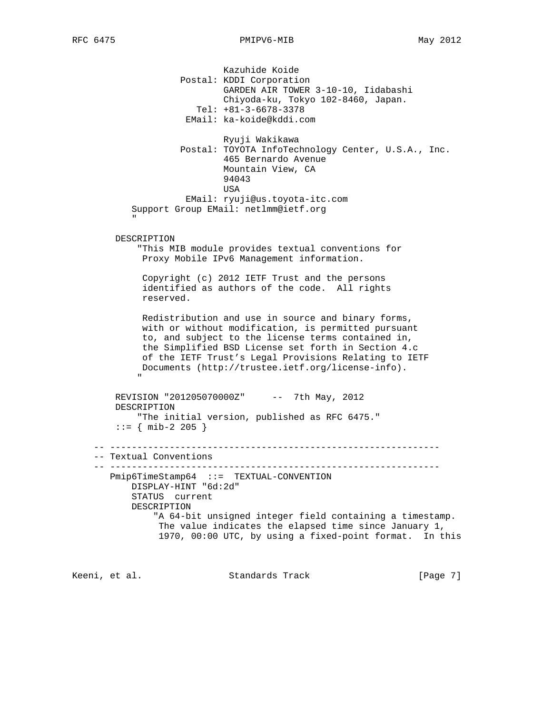Kazuhide Koide Postal: KDDI Corporation GARDEN AIR TOWER 3-10-10, Iidabashi Chiyoda-ku, Tokyo 102-8460, Japan. Tel: +81-3-6678-3378 EMail: ka-koide@kddi.com Ryuji Wakikawa Postal: TOYOTA InfoTechnology Center, U.S.A., Inc. 465 Bernardo Avenue Mountain View, CA 94043 **USA**  EMail: ryuji@us.toyota-itc.com Support Group EMail: netlmm@ietf.org " "The Contract of the Contract of the Contract of the Contract of the Contract of the Contract of the Contract of the Contract of the Contract of the Contract of the Contract of the Contract of the Contract of the Contrac DESCRIPTION "This MIB module provides textual conventions for Proxy Mobile IPv6 Management information. Copyright (c) 2012 IETF Trust and the persons identified as authors of the code. All rights reserved. Redistribution and use in source and binary forms, with or without modification, is permitted pursuant to, and subject to the license terms contained in, the Simplified BSD License set forth in Section 4.c of the IETF Trust's Legal Provisions Relating to IETF Documents (http://trustee.ietf.org/license-info). " "The Contract of the Contract of the Contract of the Contract of the Contract of the Contract of the Contract of the Contract of the Contract of the Contract of the Contract of the Contract of the Contract of the Contrac REVISION "201205070000Z" -- 7th May, 2012 DESCRIPTION "The initial version, published as RFC 6475."  $::=$  { mib-2 205 } -- ------------------------------------------------------------- -- Textual Conventions -- ------------------------------------------------------------- Pmip6TimeStamp64 ::= TEXTUAL-CONVENTION DISPLAY-HINT "6d:2d" STATUS current DESCRIPTION "A 64-bit unsigned integer field containing a timestamp. The value indicates the elapsed time since January 1, 1970, 00:00 UTC, by using a fixed-point format. In this

Keeni, et al. Standards Track [Page 7]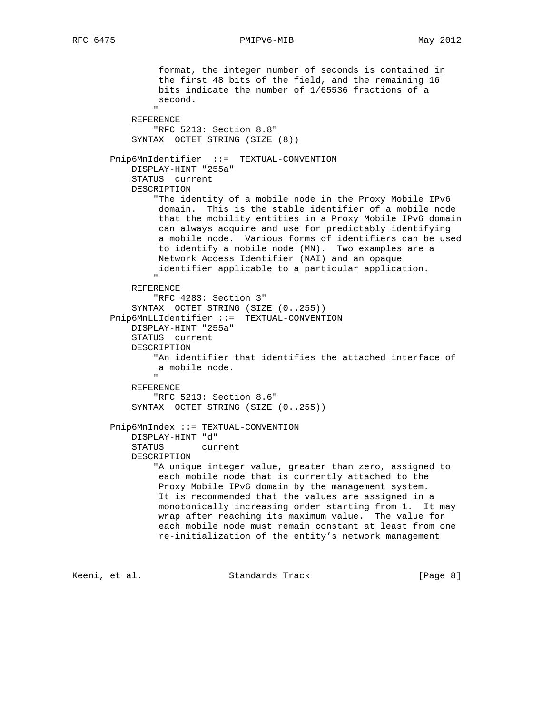format, the integer number of seconds is contained in the first 48 bits of the field, and the remaining 16 bits indicate the number of 1/65536 fractions of a second. " REFERENCE "RFC 5213: Section 8.8" SYNTAX OCTET STRING (SIZE (8)) Pmip6MnIdentifier ::= TEXTUAL-CONVENTION DISPLAY-HINT "255a" STATUS current DESCRIPTION "The identity of a mobile node in the Proxy Mobile IPv6 domain. This is the stable identifier of a mobile node that the mobility entities in a Proxy Mobile IPv6 domain can always acquire and use for predictably identifying a mobile node. Various forms of identifiers can be used to identify a mobile node (MN). Two examples are a Network Access Identifier (NAI) and an opaque identifier applicable to a particular application. " REFERENCE "RFC 4283: Section 3" SYNTAX OCTET STRING (SIZE (0..255)) Pmip6MnLLIdentifier ::= TEXTUAL-CONVENTION DISPLAY-HINT "255a" STATUS current DESCRIPTION "An identifier that identifies the attached interface of a mobile node. " REFERENCE "RFC 5213: Section 8.6" SYNTAX OCTET STRING (SIZE (0..255)) Pmip6MnIndex ::= TEXTUAL-CONVENTION DISPLAY-HINT "d" STATUS current DESCRIPTION "A unique integer value, greater than zero, assigned to each mobile node that is currently attached to the Proxy Mobile IPv6 domain by the management system. It is recommended that the values are assigned in a monotonically increasing order starting from 1. It may wrap after reaching its maximum value. The value for each mobile node must remain constant at least from one re-initialization of the entity's network management

Keeni, et al. Standards Track [Page 8]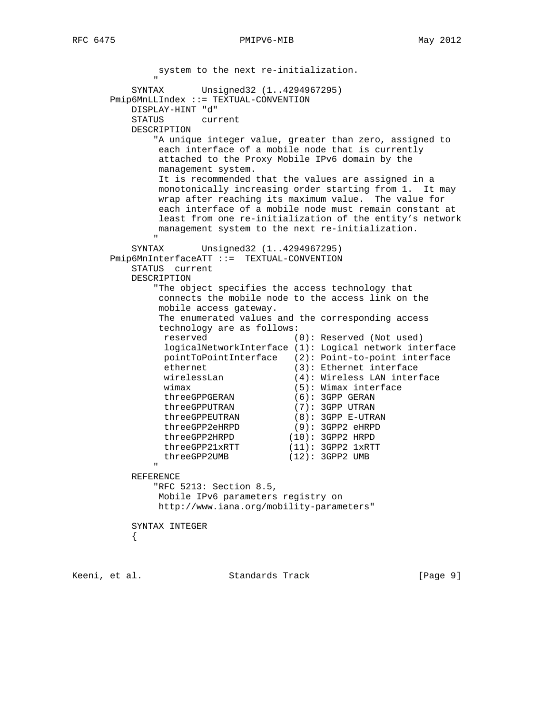system to the next re-initialization. " SYNTAX Unsigned32 (1..4294967295) Pmip6MnLLIndex ::= TEXTUAL-CONVENTION DISPLAY-HINT "d" STATUS current DESCRIPTION "A unique integer value, greater than zero, assigned to each interface of a mobile node that is currently attached to the Proxy Mobile IPv6 domain by the management system. It is recommended that the values are assigned in a monotonically increasing order starting from 1. It may wrap after reaching its maximum value. The value for each interface of a mobile node must remain constant at least from one re-initialization of the entity's network management system to the next re-initialization. " SYNTAX Unsigned32 (1..4294967295) Pmip6MnInterfaceATT ::= TEXTUAL-CONVENTION STATUS current DESCRIPTION "The object specifies the access technology that connects the mobile node to the access link on the mobile access gateway. The enumerated values and the corresponding access technology are as follows: reserved (0): Reserved (Not used) logicalNetworkInterface (1): Logical network interface pointToPointInterface (2): Point-to-point interface ethernet (3): Ethernet interface wirelessLan (4): Wireless LAN interface wimax  $(5)$ : Wimax interface threeGPPGERAN (6): 3GPP GERAN<br>threeGPPUTRAN (7): 3GPP UTRAN threeGPPUTRAN (7): 3GPP UTRAN threeGPPEUTRAN (8): 3GPP E-UTRAN threeGPP2eHRPD (9): 3GPP2 eHRPD threeGPP2HRPD (10): 3GPP2 HRPD threeGPP21xRTT (11): 3GPP2 1xRTT threeGPP2UMB (12): 3GPP2 UMB " REFERENCE "RFC 5213: Section 8.5, Mobile IPv6 parameters registry on http://www.iana.org/mobility-parameters" SYNTAX INTEGER  $\{$ 

Keeni, et al. Standards Track [Page 9]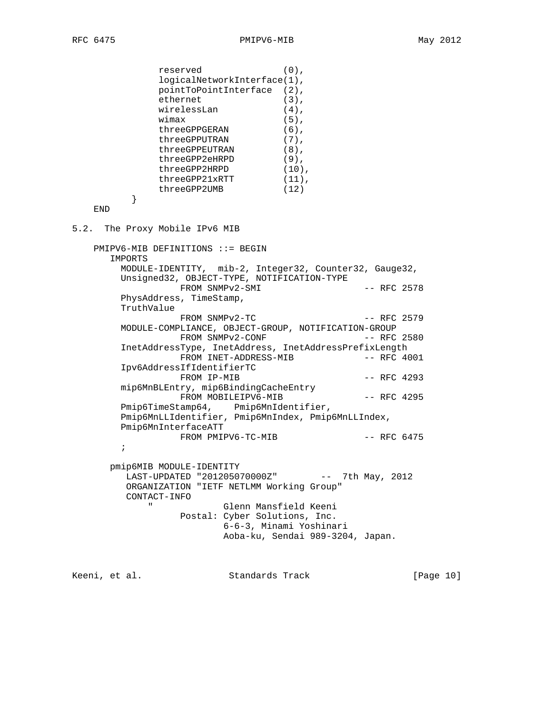```
 reserved (0),
              logicalNetworkInterface(1),
              pointToPointInterface (2),
ethernet (3),
wirelessLan (4),
wimax (5),
threeGPPGERAN (6),
threeGPPUTRAN (7),
             threeGPPUTRAN (7),<br>
threeGPPEUTRAN (8),<br>
threeGPPEUTRAN (8),<br>
threeGPP2eHRPD (9),<br>
threeGPP21xRTT (10),<br>
threeGPP21xRTT (11),<br>
threeGPP2UMB (12)
             threeGPP2eHRPD
threeGPP2HRPD (10),
threeGPP21xRTT (11),
 threeGPP2UMB (12)
 }
    END
5.2. The Proxy Mobile IPv6 MIB
    PMIPV6-MIB DEFINITIONS ::= BEGIN
       IMPORTS
        MODULE-IDENTITY, mib-2, Integer32, Counter32, Gauge32,
        Unsigned32, OBJECT-TYPE, NOTIFICATION-TYPE
                FROM SNMPv2-SMI -- RFC 2578
        PhysAddress, TimeStamp,
        TruthValue
                 FROM SNMPv2-TC -- RFC 2579
        MODULE-COMPLIANCE, OBJECT-GROUP, NOTIFICATION-GROUP
                 FROM SNMPv2-CONF -- RFC 2580
        InetAddressType, InetAddress, InetAddressPrefixLength
                FROM INET-ADDRESS-MIB
        Ipv6AddressIfIdentifierTC
                FROM IP-MIB -- RFC 4293
        mip6MnBLEntry, mip6BindingCacheEntry
                FROM MOBILEIPV6-MIB -- RFC 4295
        Pmip6TimeStamp64, Pmip6MnIdentifier,
        Pmip6MnLLIdentifier, Pmip6MnIndex, Pmip6MnLLIndex,
        Pmip6MnInterfaceATT
                FROM PMIPV6-TC-MIB -- RFC 6475
\mathcal{L}^{\text{max}} pmip6MIB MODULE-IDENTITY
         LAST-UPDATED "201205070000Z" -- 7th May, 2012
         ORGANIZATION "IETF NETLMM Working Group"
         CONTACT-INFO
             " Glenn Mansfield Keeni
                  Postal: Cyber Solutions, Inc.
                         6-6-3, Minami Yoshinari
                         Aoba-ku, Sendai 989-3204, Japan.
```
Keeni, et al. Standards Track [Page 10]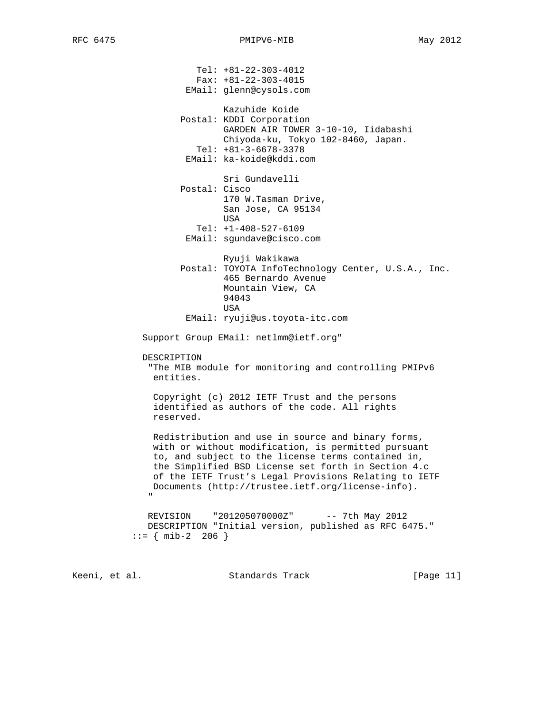Tel: +81-22-303-4012 Fax: +81-22-303-4015 EMail: glenn@cysols.com Kazuhide Koide Postal: KDDI Corporation GARDEN AIR TOWER 3-10-10, Iidabashi Chiyoda-ku, Tokyo 102-8460, Japan. Tel: +81-3-6678-3378 EMail: ka-koide@kddi.com Sri Gundavelli Postal: Cisco 170 W.Tasman Drive, San Jose, CA 95134 **USA**  Tel: +1-408-527-6109 EMail: sgundave@cisco.com Ryuji Wakikawa Postal: TOYOTA InfoTechnology Center, U.S.A., Inc. 465 Bernardo Avenue Mountain View, CA 94043 **USA**  EMail: ryuji@us.toyota-itc.com Support Group EMail: netlmm@ietf.org" DESCRIPTION "The MIB module for monitoring and controlling PMIPv6 entities. Copyright (c) 2012 IETF Trust and the persons identified as authors of the code. All rights reserved. Redistribution and use in source and binary forms, with or without modification, is permitted pursuant to, and subject to the license terms contained in, the Simplified BSD License set forth in Section 4.c of the IETF Trust's Legal Provisions Relating to IETF Documents (http://trustee.ietf.org/license-info). " "The Contract of the Contract of the Contract of the Contract of the Contract of the Contract of the Contract of the Contract of the Contract of the Contract of the Contract of the Contract of the Contract of the Contrac REVISION "201205070000Z" -- 7th May 2012 DESCRIPTION "Initial version, published as RFC 6475."  $::=$  { mib-2 206 }

Keeni, et al. Standards Track [Page 11]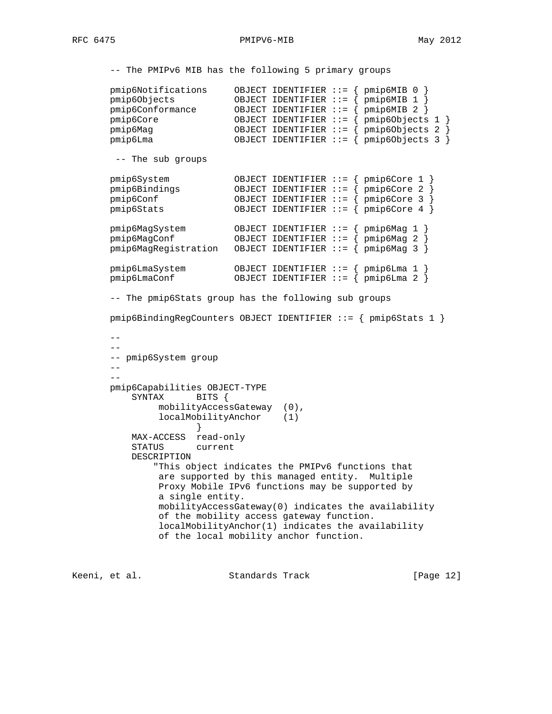-- The PMIPv6 MIB has the following 5 primary groups

```
 pmip6Notifications OBJECT IDENTIFIER ::= { pmip6MIB 0 }
 pmip6Objects OBJECT IDENTIFIER ::= { pmip6MIB 1 }
 pmip6Conformance OBJECT IDENTIFIER ::= { pmip6MIB 2 }
 pmip6Core OBJECT IDENTIFIER ::= { pmip6Objects 1 }
 pmip6Mag OBJECT IDENTIFIER ::= { pmip6Objects 2 }
 pmip6Lma OBJECT IDENTIFIER ::= { pmip6Objects 3 }
       -- The sub groups
 pmip6System OBJECT IDENTIFIER ::= { pmip6Core 1 }
 pmip6Bindings OBJECT IDENTIFIER ::= { pmip6Core 2 }
 pmip6Conf OBJECT IDENTIFIER ::= { pmip6Core 3 }
 pmip6Stats OBJECT IDENTIFIER ::= { pmip6Core 4 }
 pmip6MagSystem OBJECT IDENTIFIER ::= { pmip6Mag 1 }
 pmip6MagConf OBJECT IDENTIFIER ::= { pmip6Mag 2 }
      pmi p6MagRegionistration OBJECT IDENTIFIER ::= { pmi p6Mag 3 }
 pmip6LmaSystem OBJECT IDENTIFIER ::= { pmip6Lma 1 }
 pmip6LmaConf OBJECT IDENTIFIER ::= { pmip6Lma 2 }
       -- The pmip6Stats group has the following sub groups
       pmip6BindingRegCounters OBJECT IDENTIFIER ::= { pmip6Stats 1 }
 --
      - - -- pmip6System group
      - --
       pmip6Capabilities OBJECT-TYPE
          SYNTAX BITS {
              mobilityAccessGateway (0),
              localMobilityAnchor (1)
 }
          MAX-ACCESS read-only
          STATUS current
          DESCRIPTION
              "This object indicates the PMIPv6 functions that
              are supported by this managed entity. Multiple
              Proxy Mobile IPv6 functions may be supported by
              a single entity.
              mobilityAccessGateway(0) indicates the availability
              of the mobility access gateway function.
              localMobilityAnchor(1) indicates the availability
              of the local mobility anchor function.
Keeni, et al.                     Standards Track                   [Page 12]
```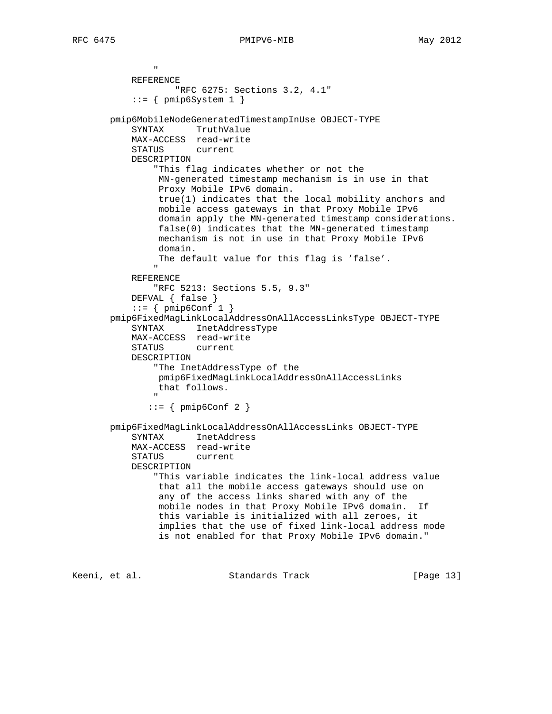"

```
 REFERENCE
                   "RFC 6275: Sections 3.2, 4.1"
            ::= { \ \ \text{pmip6System 1 } } pmip6MobileNodeGeneratedTimestampInUse OBJECT-TYPE
           SYNTAX TruthValue
           MAX-ACCESS read-write
           STATUS current
           DESCRIPTION
                "This flag indicates whether or not the
                MN-generated timestamp mechanism is in use in that
                Proxy Mobile IPv6 domain.
                true(1) indicates that the local mobility anchors and
                mobile access gateways in that Proxy Mobile IPv6
                domain apply the MN-generated timestamp considerations.
                false(0) indicates that the MN-generated timestamp
                mechanism is not in use in that Proxy Mobile IPv6
                domain.
                The default value for this flag is 'false'.
 "
           REFERENCE
               "RFC 5213: Sections 5.5, 9.3"
           DEFVAL { false }
           ::= { pmip6Conf 1 }
       pmip6FixedMagLinkLocalAddressOnAllAccessLinksType OBJECT-TYPE
           SYNTAX InetAddressType
           MAX-ACCESS read-write
           STATUS current
           DESCRIPTION
               "The InetAddressType of the
                pmip6FixedMagLinkLocalAddressOnAllAccessLinks
                that follows.
 "
               ::= { pmip6Conf 2 }
       pmip6FixedMagLinkLocalAddressOnAllAccessLinks OBJECT-TYPE
           SYNTAX InetAddress
           MAX-ACCESS read-write
           STATUS current
           DESCRIPTION
                "This variable indicates the link-local address value
                that all the mobile access gateways should use on
                any of the access links shared with any of the
                mobile nodes in that Proxy Mobile IPv6 domain. If
                this variable is initialized with all zeroes, it
                implies that the use of fixed link-local address mode
                is not enabled for that Proxy Mobile IPv6 domain."
```
Keeni, et al. Standards Track [Page 13]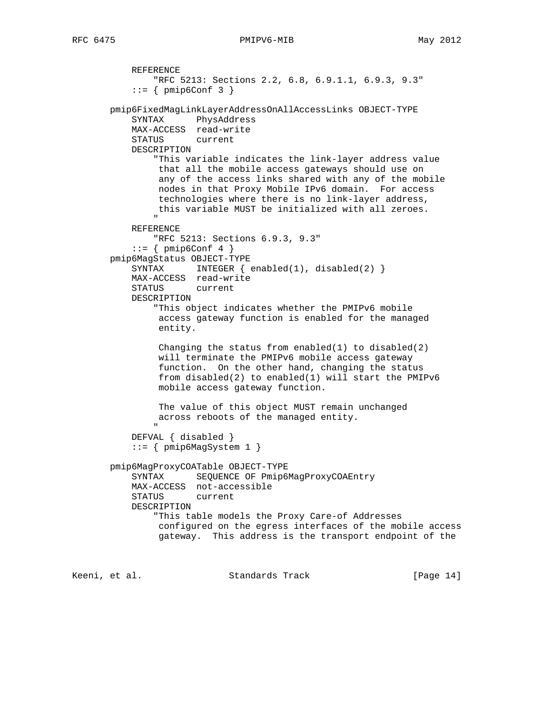```
 REFERENCE
                "RFC 5213: Sections 2.2, 6.8, 6.9.1.1, 6.9.3, 9.3"
           ::= { pmip6Conf 3 }
        pmip6FixedMagLinkLayerAddressOnAllAccessLinks OBJECT-TYPE
            SYNTAX PhysAddress
            MAX-ACCESS read-write
            STATUS current
            DESCRIPTION
                "This variable indicates the link-layer address value
                that all the mobile access gateways should use on
                 any of the access links shared with any of the mobile
                 nodes in that Proxy Mobile IPv6 domain. For access
                 technologies where there is no link-layer address,
                this variable MUST be initialized with all zeroes.
 "
            REFERENCE
                "RFC 5213: Sections 6.9.3, 9.3"
           ::= { pmip6Conf 4 }
        pmip6MagStatus OBJECT-TYPE
           SYNTAX INTEGER \{ \text{enabeled}(1), \text{disabeled}(2) \} MAX-ACCESS read-write
            STATUS current
            DESCRIPTION
                "This object indicates whether the PMIPv6 mobile
                 access gateway function is enabled for the managed
                 entity.
                 Changing the status from enabled(1) to disabled(2)
                 will terminate the PMIPv6 mobile access gateway
                 function. On the other hand, changing the status
                 from disabled(2) to enabled(1) will start the PMIPv6
                 mobile access gateway function.
                The value of this object MUST remain unchanged
                across reboots of the managed entity.
 "
            DEFVAL { disabled }
            ::= { pmip6MagSystem 1 }
        pmip6MagProxyCOATable OBJECT-TYPE
            SYNTAX SEQUENCE OF Pmip6MagProxyCOAEntry
            MAX-ACCESS not-accessible
            STATUS current
            DESCRIPTION
                "This table models the Proxy Care-of Addresses
                 configured on the egress interfaces of the mobile access
                 gateway. This address is the transport endpoint of the
Keeni, et al.                     Standards Track                   [Page 14]
```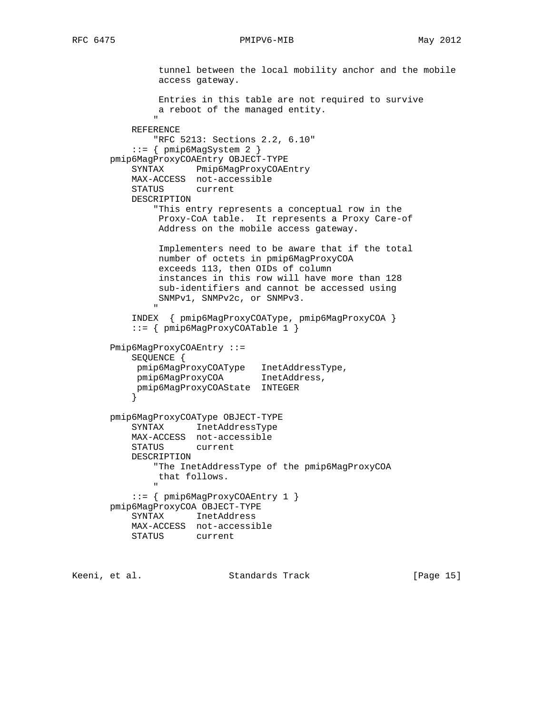```
 tunnel between the local mobility anchor and the mobile
                access gateway.
                Entries in this table are not required to survive
               a reboot of the managed entity.
 "
           REFERENCE
               "RFC 5213: Sections 2.2, 6.10"
           ::= \{ \text{pmip6MagSystem 2} \} pmip6MagProxyCOAEntry OBJECT-TYPE
           SYNTAX Pmip6MagProxyCOAEntry
           MAX-ACCESS not-accessible
           STATUS current
           DESCRIPTION
               "This entry represents a conceptual row in the
                Proxy-CoA table. It represents a Proxy Care-of
                Address on the mobile access gateway.
                Implementers need to be aware that if the total
                number of octets in pmip6MagProxyCOA
                exceeds 113, then OIDs of column
                instances in this row will have more than 128
                sub-identifiers and cannot be accessed using
               SNMPv1, SNMPv2c, or SNMPv3.
 "
           INDEX { pmip6MagProxyCOAType, pmip6MagProxyCOA }
           ::= { pmip6MagProxyCOATable 1 }
       Pmip6MagProxyCOAEntry ::=
           SEQUENCE {
           pmip6MagProxyCOAType InetAddressType,
            pmip6MagProxyCOA InetAddress,
            pmip6MagProxyCOAState INTEGER
 }
       pmip6MagProxyCOAType OBJECT-TYPE
           SYNTAX InetAddressType
           MAX-ACCESS not-accessible
           STATUS current
           DESCRIPTION
               "The InetAddressType of the pmip6MagProxyCOA
               that follows.
 "
           ::= { pmip6MagProxyCOAEntry 1 }
       pmip6MagProxyCOA OBJECT-TYPE
           SYNTAX InetAddress
           MAX-ACCESS not-accessible
           STATUS current
```
Keeni, et al. Standards Track [Page 15]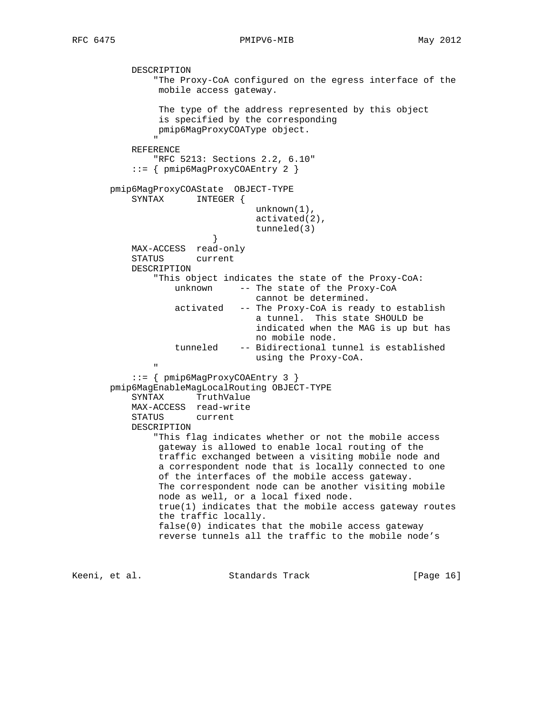DESCRIPTION

# RFC 6475 PMIPV6-MIB May 2012

 "The Proxy-CoA configured on the egress interface of the mobile access gateway. The type of the address represented by this object is specified by the corresponding pmip6MagProxyCOAType object. " REFERENCE "RFC 5213: Sections 2.2, 6.10" ::= { pmip6MagProxyCOAEntry 2 } pmip6MagProxyCOAState OBJECT-TYPE SYNTAX INTEGER { unknown(1), activated(2), tunneled(3) } MAX-ACCESS read-only STATUS current DESCRIPTION "This object indicates the state of the Proxy-CoA: unknown -- The state of the Proxy-CoA cannot be determined. activated -- The Proxy-CoA is ready to establish a tunnel. This state SHOULD be indicated when the MAG is up but has no mobile node. tunneled -- Bidirectional tunnel is established using the Proxy-CoA. " ::= { pmip6MagProxyCOAEntry 3 } pmip6MagEnableMagLocalRouting OBJECT-TYPE SYNTAX TruthValue MAX-ACCESS read-write STATUS current DESCRIPTION "This flag indicates whether or not the mobile access gateway is allowed to enable local routing of the traffic exchanged between a visiting mobile node and a correspondent node that is locally connected to one of the interfaces of the mobile access gateway. The correspondent node can be another visiting mobile node as well, or a local fixed node. true(1) indicates that the mobile access gateway routes the traffic locally. false(0) indicates that the mobile access gateway reverse tunnels all the traffic to the mobile node's

Keeni, et al. Standards Track [Page 16]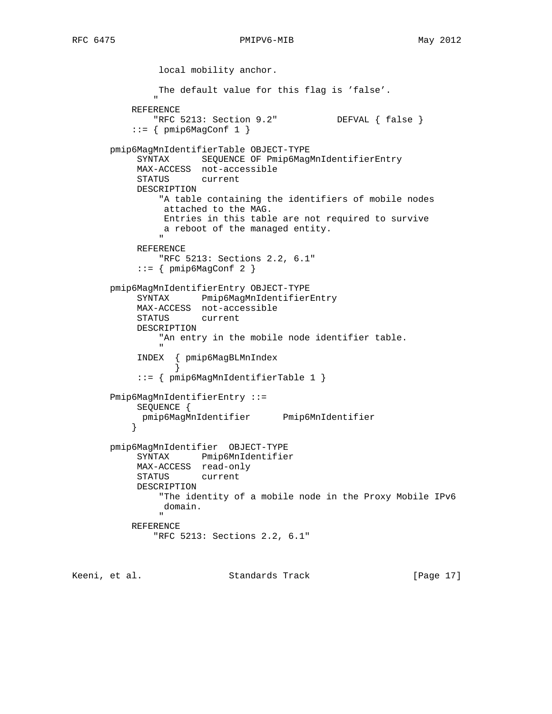```
 local mobility anchor.
                     The default value for this flag is 'false'.
 "
               REFERENCE
                    "RFC 5213: Section 9.2" DEFVAL { false }
              ::= { pmip6MagConf 1 }
         pmip6MagMnIdentifierTable OBJECT-TYPE
                SYNTAX SEQUENCE OF Pmip6MagMnIdentifierEntry
                MAX-ACCESS not-accessible
                STATUS current
                DESCRIPTION
                     "A table containing the identifiers of mobile nodes
                      attached to the MAG.
                      Entries in this table are not required to survive
                      a reboot of the managed entity.
 "
                REFERENCE
                     "RFC 5213: Sections 2.2, 6.1"
               ::= { pmip6MagConf 2 }
         pmip6MagMnIdentifierEntry OBJECT-TYPE
                SYNTAX Pmip6MagMnIdentifierEntry
                MAX-ACCESS not-accessible
                STATUS current
                DESCRIPTION
                     "An entry in the mobile node identifier table.
" "The contract of the contract of the contract of the contract of the contract of the contract of the contract of the contract of the contract of the contract of the contract of the contract of the contract of the contrac
                INDEX { pmip6MagBLMnIndex
 }
                ::= { pmip6MagMnIdentifierTable 1 }
         Pmip6MagMnIdentifierEntry ::=
               SEQUENCE {
              pmip6MagMnIdentifier Pmip6MnIdentifier
 }
         pmip6MagMnIdentifier OBJECT-TYPE
                SYNTAX Pmip6MnIdentifier
               MAX-ACCESS read-only<br>STATUS current
               STATUS
                DESCRIPTION
                     "The identity of a mobile node in the Proxy Mobile IPv6
                      domain.
" "The contract of the contract of the contract of the contract of the contract of the contract of the contract of the contract of the contract of the contract of the contract of the contract of the contract of the contrac
               REFERENCE
                    "RFC 5213: Sections 2.2, 6.1"
```
Keeni, et al. Standards Track [Page 17]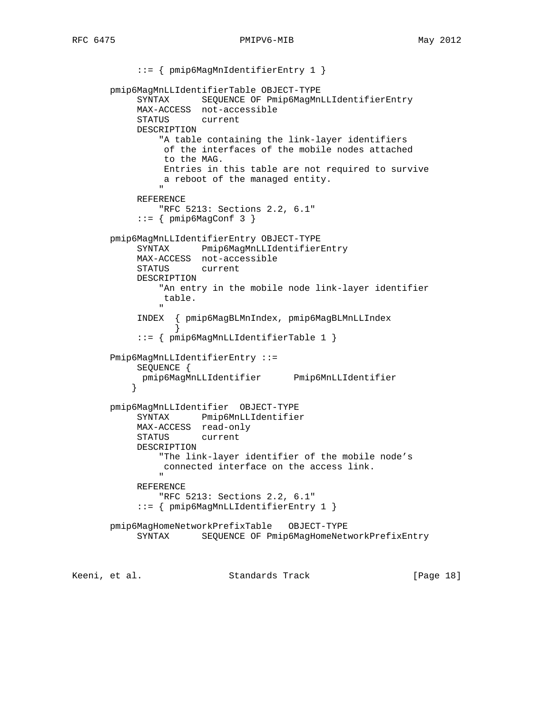::= { pmip6MagMnIdentifierEntry 1 } pmip6MagMnLLIdentifierTable OBJECT-TYPE SYNTAX SEQUENCE OF Pmip6MagMnLLIdentifierEntry MAX-ACCESS not-accessible STATUS current DESCRIPTION "A table containing the link-layer identifiers of the interfaces of the mobile nodes attached to the MAG. Entries in this table are not required to survive a reboot of the managed entity. " "The contract of the contract of the contract of the contract of the contract of the contract of the contract of the contract of the contract of the contract of the contract of the contract of the contract of the contrac REFERENCE "RFC 5213: Sections 2.2, 6.1"  $::=$  { pmip6MagConf 3 } pmip6MagMnLLIdentifierEntry OBJECT-TYPE SYNTAX Pmip6MagMnLLIdentifierEntry MAX-ACCESS not-accessible STATUS current DESCRIPTION "An entry in the mobile node link-layer identifier table. " "The contract of the contract of the contract of the contract of the contract of the contract of the contract of the contract of the contract of the contract of the contract of the contract of the contract of the contrac INDEX { pmip6MagBLMnIndex, pmip6MagBLMnLLIndex } ::= { pmip6MagMnLLIdentifierTable 1 } Pmip6MagMnLLIdentifierEntry ::= SEQUENCE { pmip6MagMnLLIdentifier Pmip6MnLLIdentifier } pmip6MagMnLLIdentifier OBJECT-TYPE SYNTAX Pmip6MnLLIdentifier MAX-ACCESS read-only STATUS current DESCRIPTION "The link-layer identifier of the mobile node's connected interface on the access link. " REFERENCE "RFC 5213: Sections 2.2, 6.1" ::= { pmip6MagMnLLIdentifierEntry 1 } pmip6MagHomeNetworkPrefixTable OBJECT-TYPE SYNTAX SEQUENCE OF Pmip6MagHomeNetworkPrefixEntry

Keeni, et al. Standards Track [Page 18]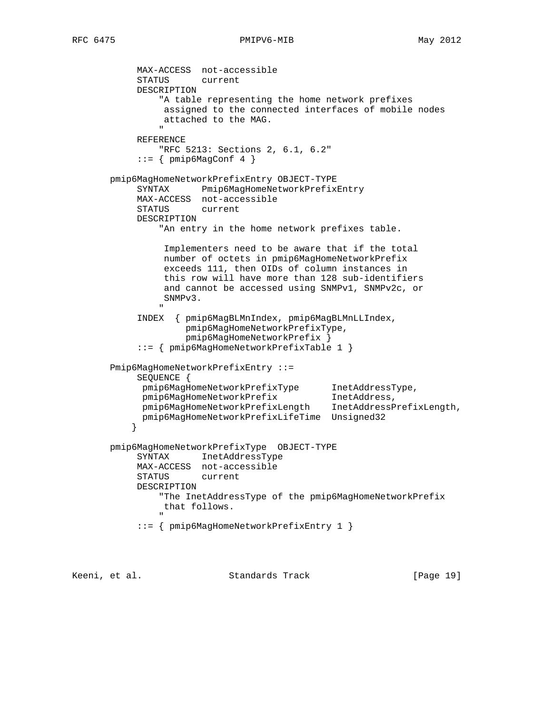MAX-ACCESS not-accessible STATUS current DESCRIPTION "A table representing the home network prefixes assigned to the connected interfaces of mobile nodes attached to the MAG. " "The contract of the contract of the contract of the contract of the contract of the contract of the contract of the contract of the contract of the contract of the contract of the contract of the contract of the contrac REFERENCE "RFC 5213: Sections 2, 6.1, 6.2"  $::=$  { pmip6MagConf 4 } pmip6MagHomeNetworkPrefixEntry OBJECT-TYPE SYNTAX Pmip6MagHomeNetworkPrefixEntry MAX-ACCESS not-accessible STATUS current DESCRIPTION "An entry in the home network prefixes table. Implementers need to be aware that if the total number of octets in pmip6MagHomeNetworkPrefix exceeds 111, then OIDs of column instances in this row will have more than 128 sub-identifiers and cannot be accessed using SNMPv1, SNMPv2c, or SNMPv3. " "The contract of the contract of the contract of the contract of the contract of the contract of the contract of the contract of the contract of the contract of the contract of the contract of the contract of the contrac INDEX { pmip6MagBLMnIndex, pmip6MagBLMnLLIndex, pmip6MagHomeNetworkPrefixType, pmip6MagHomeNetworkPrefix } ::= { pmip6MagHomeNetworkPrefixTable 1 } Pmip6MagHomeNetworkPrefixEntry ::= SEQUENCE { pmip6MagHomeNetworkPrefixType InetAddressType, pmip6MagHomeNetworkPrefix InetAddress, pmip6MagHomeNetworkPrefixLength InetAddressPrefixLength, pmip6MagHomeNetworkPrefixLifeTime Unsigned32 } pmip6MagHomeNetworkPrefixType OBJECT-TYPE SYNTAX InetAddressType MAX-ACCESS not-accessible<br>STATUS current STATUS DESCRIPTION "The InetAddressType of the pmip6MagHomeNetworkPrefix that follows. " "The contract of the contract of the contract of the contract of the contract of the contract of the contract of the contract of the contract of the contract of the contract of the contract of the contract of the contrac ::= { pmip6MagHomeNetworkPrefixEntry 1 }

Keeni, et al. Standards Track [Page 19]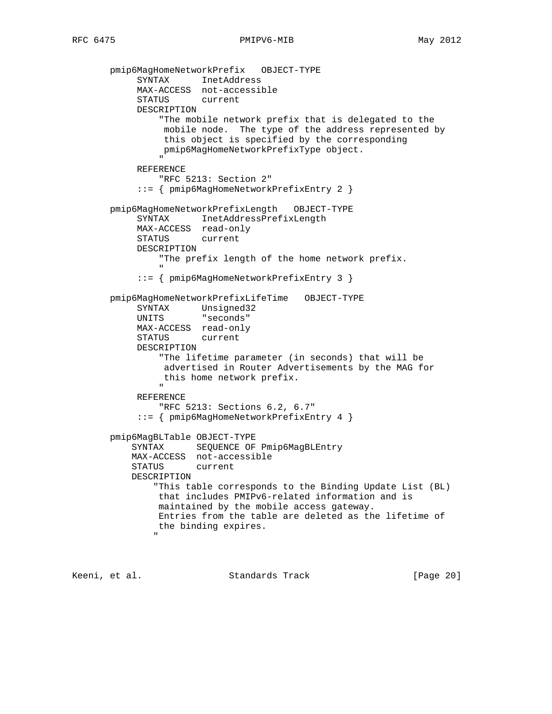```
 pmip6MagHomeNetworkPrefix OBJECT-TYPE
             SYNTAX InetAddress
             MAX-ACCESS not-accessible
             STATUS current
             DESCRIPTION
                  "The mobile network prefix that is delegated to the
                   mobile node. The type of the address represented by
                   this object is specified by the corresponding
                  pmip6MagHomeNetworkPrefixType object.
" "The contract of the contract of the contract of the contract of the contract of the contract of the contract of the contract of the contract of the contract of the contract of the contract of the contract of the contrac
             REFERENCE
                 "RFC 5213: Section 2"
              ::= { pmip6MagHomeNetworkPrefixEntry 2 }
        pmip6MagHomeNetworkPrefixLength OBJECT-TYPE
             SYNTAX InetAddressPrefixLength
             MAX-ACCESS read-only
             STATUS current
             DESCRIPTION
                  "The prefix length of the home network prefix.
 "
              ::= { pmip6MagHomeNetworkPrefixEntry 3 }
        pmip6MagHomeNetworkPrefixLifeTime OBJECT-TYPE
 SYNTAX Unsigned32
 UNITS "seconds"
             MAX-ACCESS read-only
             STATUS current
             DESCRIPTION
                  "The lifetime parameter (in seconds) that will be
                   advertised in Router Advertisements by the MAG for
                  this home network prefix.
 "
             REFERENCE
                  "RFC 5213: Sections 6.2, 6.7"
              ::= { pmip6MagHomeNetworkPrefixEntry 4 }
        pmip6MagBLTable OBJECT-TYPE
            SYNTAX SEQUENCE OF Pmip6MagBLEntry
            MAX-ACCESS not-accessible
            STATUS current
            DESCRIPTION
                 "This table corresponds to the Binding Update List (BL)
                  that includes PMIPv6-related information and is
                 maintained by the mobile access gateway.
                 Entries from the table are deleted as the lifetime of
                 the binding expires.
 "
```
Keeni, et al. Standards Track [Page 20]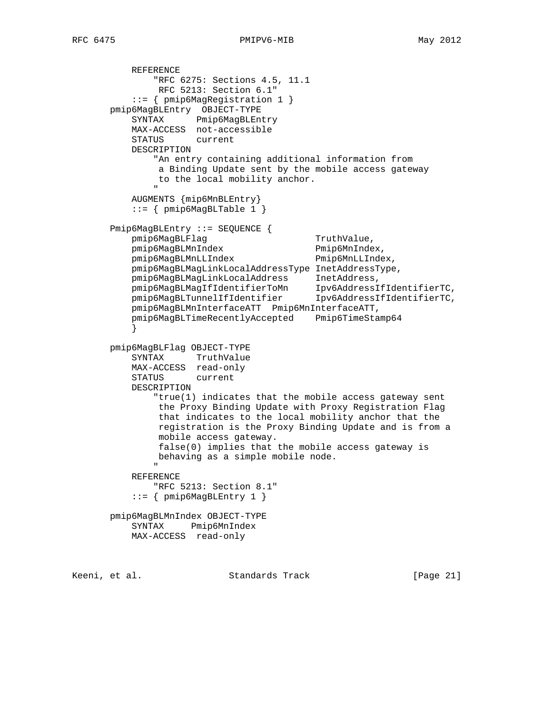```
 REFERENCE
               "RFC 6275: Sections 4.5, 11.1
               RFC 5213: Section 6.1"
           ::= { pmip6MagRegistration 1 }
       pmip6MagBLEntry OBJECT-TYPE
           SYNTAX Pmip6MagBLEntry
           MAX-ACCESS not-accessible
           STATUS current
           DESCRIPTION
               "An entry containing additional information from
               a Binding Update sent by the mobile access gateway
               to the local mobility anchor.
 "
           AUGMENTS {mip6MnBLEntry}
           ::= { pmip6MagBLTable 1 }
       Pmip6MagBLEntry ::= SEQUENCE {
          pmip6MagBLFlag TruthValue,
          pmip6MagBLMnIndex Pmip6MnIndex,
           pmip6MagBLMnLLIndex Pmip6MnLLIndex,
           pmip6MagBLMagLinkLocalAddressType InetAddressType,
           pmip6MagBLMagLinkLocalAddress InetAddress,
 pmip6MagBLMagIfIdentifierToMn Ipv6AddressIfIdentifierTC,
 pmip6MagBLTunnelIfIdentifier Ipv6AddressIfIdentifierTC,
           pmip6MagBLMnInterfaceATT Pmip6MnInterfaceATT,
           pmip6MagBLTimeRecentlyAccepted Pmip6TimeStamp64
 }
       pmip6MagBLFlag OBJECT-TYPE
           SYNTAX TruthValue
           MAX-ACCESS read-only
           STATUS current
           DESCRIPTION
               "true(1) indicates that the mobile access gateway sent
               the Proxy Binding Update with Proxy Registration Flag
               that indicates to the local mobility anchor that the
               registration is the Proxy Binding Update and is from a
               mobile access gateway.
               false(0) implies that the mobile access gateway is
               behaving as a simple mobile node.
 "
           REFERENCE
              "RFC 5213: Section 8.1"
           ::= \{ \text{pmip6MagBLEntry 1} \} pmip6MagBLMnIndex OBJECT-TYPE
           SYNTAX Pmip6MnIndex
           MAX-ACCESS read-only
```
Keeni, et al. Standards Track [Page 21]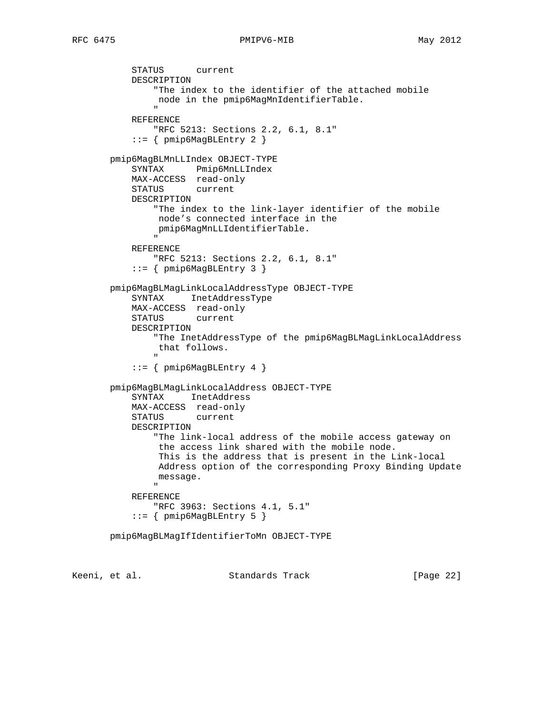```
 STATUS current
           DESCRIPTION
               "The index to the identifier of the attached mobile
                node in the pmip6MagMnIdentifierTable.
 "
           REFERENCE
               "RFC 5213: Sections 2.2, 6.1, 8.1"
           ::= \{ \text{pmip6MagBLEntry } 2 \} pmip6MagBLMnLLIndex OBJECT-TYPE
           SYNTAX Pmip6MnLLIndex
           MAX-ACCESS read-only
           STATUS current
           DESCRIPTION
               "The index to the link-layer identifier of the mobile
                node's connected interface in the
               pmip6MagMnLLIdentifierTable.
 "
           REFERENCE
               "RFC 5213: Sections 2.2, 6.1, 8.1"
           ::= { pmip6MagBLEntry 3 }
       pmip6MagBLMagLinkLocalAddressType OBJECT-TYPE
           SYNTAX InetAddressType
           MAX-ACCESS read-only
           STATUS current
           DESCRIPTION
               "The InetAddressType of the pmip6MagBLMagLinkLocalAddress
               that follows.
 "
           ::= { pmip6MagBLEntry 4 }
       pmip6MagBLMagLinkLocalAddress OBJECT-TYPE
           SYNTAX InetAddress
           MAX-ACCESS read-only
           STATUS current
           DESCRIPTION
               "The link-local address of the mobile access gateway on
                the access link shared with the mobile node.
                This is the address that is present in the Link-local
                Address option of the corresponding Proxy Binding Update
               message.
 "
           REFERENCE
               "RFC 3963: Sections 4.1, 5.1"
           ::= { pmip6MagBLEntry 5 }
       pmip6MagBLMagIfIdentifierToMn OBJECT-TYPE
```
Keeni, et al. Standards Track [Page 22]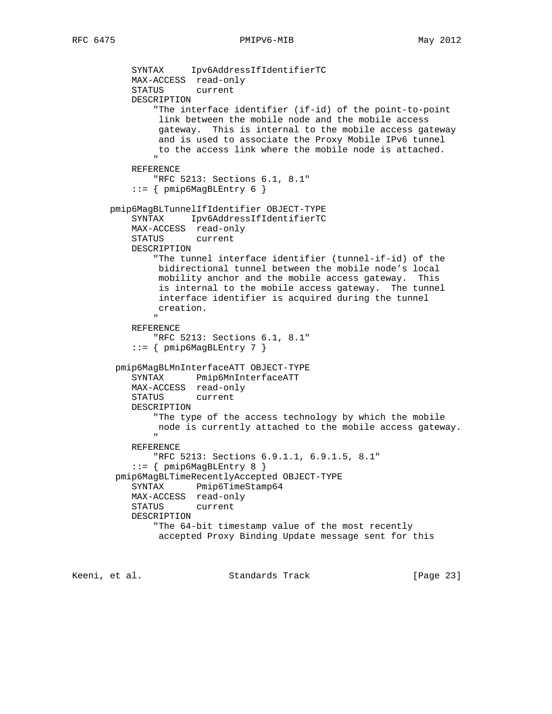```
 SYNTAX Ipv6AddressIfIdentifierTC
           MAX-ACCESS read-only
           STATUS current
           DESCRIPTION
               "The interface identifier (if-id) of the point-to-point
                link between the mobile node and the mobile access
                gateway. This is internal to the mobile access gateway
                and is used to associate the Proxy Mobile IPv6 tunnel
               to the access link where the mobile node is attached.
 "
           REFERENCE
               "RFC 5213: Sections 6.1, 8.1"
           ::= { pmip6MagBLEntry 6 }
       pmip6MagBLTunnelIfIdentifier OBJECT-TYPE
           SYNTAX Ipv6AddressIfIdentifierTC
           MAX-ACCESS read-only
           STATUS current
           DESCRIPTION
               "The tunnel interface identifier (tunnel-if-id) of the
                bidirectional tunnel between the mobile node's local
                mobility anchor and the mobile access gateway. This
                is internal to the mobile access gateway. The tunnel
                interface identifier is acquired during the tunnel
               creation.
 "
           REFERENCE
               "RFC 5213: Sections 6.1, 8.1"
          ::= { pmip6MagBLEntry 7 }
        pmip6MagBLMnInterfaceATT OBJECT-TYPE
           SYNTAX Pmip6MnInterfaceATT
           MAX-ACCESS read-only
           STATUS current
           DESCRIPTION
               "The type of the access technology by which the mobile
               node is currently attached to the mobile access gateway.
 "
           REFERENCE
               "RFC 5213: Sections 6.9.1.1, 6.9.1.5, 8.1"
           ::= { pmip6MagBLEntry 8 }
        pmip6MagBLTimeRecentlyAccepted OBJECT-TYPE
           SYNTAX Pmip6TimeStamp64
           MAX-ACCESS read-only
           STATUS current
           DESCRIPTION
               "The 64-bit timestamp value of the most recently
               accepted Proxy Binding Update message sent for this
```
Keeni, et al. Standards Track [Page 23]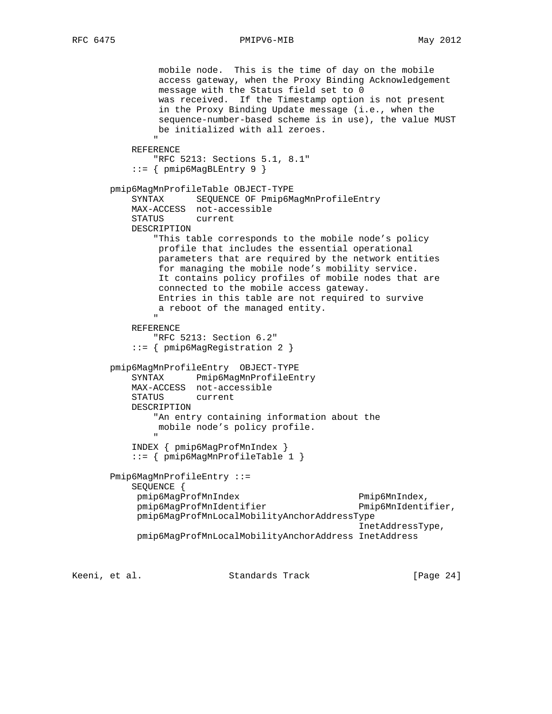```
 mobile node. This is the time of day on the mobile
                access gateway, when the Proxy Binding Acknowledgement
                message with the Status field set to 0
                was received. If the Timestamp option is not present
                in the Proxy Binding Update message (i.e., when the
                sequence-number-based scheme is in use), the value MUST
               be initialized with all zeroes.
 "
           REFERENCE
               "RFC 5213: Sections 5.1, 8.1"
           ::= { pmip6MagBLEntry 9 }
       pmip6MagMnProfileTable OBJECT-TYPE
           SYNTAX SEQUENCE OF Pmip6MagMnProfileEntry
           MAX-ACCESS not-accessible
           STATUS current
           DESCRIPTION
               "This table corresponds to the mobile node's policy
                profile that includes the essential operational
                parameters that are required by the network entities
                for managing the mobile node's mobility service.
                It contains policy profiles of mobile nodes that are
                connected to the mobile access gateway.
                Entries in this table are not required to survive
               a reboot of the managed entity.
 "
           REFERENCE
               "RFC 5213: Section 6.2"
           ::= { pmip6MagRegistration 2 }
       pmip6MagMnProfileEntry OBJECT-TYPE
           SYNTAX Pmip6MagMnProfileEntry
           MAX-ACCESS not-accessible
           STATUS current
           DESCRIPTION
               "An entry containing information about the
               mobile node's policy profile.
 "
           INDEX { pmip6MagProfMnIndex }
           ::= { pmip6MagMnProfileTable 1 }
       Pmip6MagMnProfileEntry ::=
           SEQUENCE {
            pmip6MagProfMnIndex Pmip6MnIndex,
            pmip6MagProfMnIdentifier Pmip6MnIdentifier,
            pmip6MagProfMnLocalMobilityAnchorAddressType
                                                    InetAddressType,
            pmip6MagProfMnLocalMobilityAnchorAddress InetAddress
```
Keeni, et al. Standards Track [Page 24]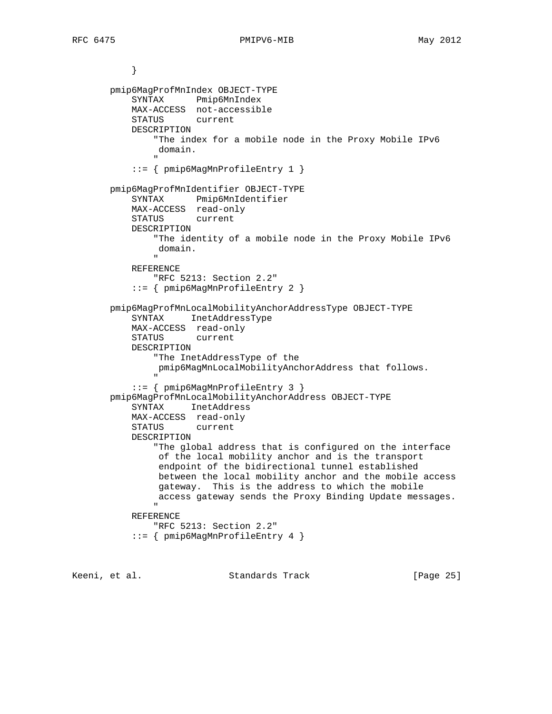```
 }
       pmip6MagProfMnIndex OBJECT-TYPE
           SYNTAX Pmip6MnIndex
           MAX-ACCESS not-accessible
           STATUS current
           DESCRIPTION
               "The index for a mobile node in the Proxy Mobile IPv6
               domain.
 "
           ::= { pmip6MagMnProfileEntry 1 }
       pmip6MagProfMnIdentifier OBJECT-TYPE
           SYNTAX Pmip6MnIdentifier
           MAX-ACCESS read-only
           STATUS current
           DESCRIPTION
               "The identity of a mobile node in the Proxy Mobile IPv6
               domain.
 "
           REFERENCE
               "RFC 5213: Section 2.2"
           ::= { pmip6MagMnProfileEntry 2 }
       pmip6MagProfMnLocalMobilityAnchorAddressType OBJECT-TYPE
           SYNTAX InetAddressType
           MAX-ACCESS read-only
           STATUS current
           DESCRIPTION
               "The InetAddressType of the
               pmip6MagMnLocalMobilityAnchorAddress that follows.
 "
           ::= { pmip6MagMnProfileEntry 3 }
       pmip6MagProfMnLocalMobilityAnchorAddress OBJECT-TYPE
           SYNTAX InetAddress
           MAX-ACCESS read-only
           STATUS current
           DESCRIPTION
               "The global address that is configured on the interface
               of the local mobility anchor and is the transport
                endpoint of the bidirectional tunnel established
               between the local mobility anchor and the mobile access
               gateway. This is the address to which the mobile
               access gateway sends the Proxy Binding Update messages.
 "
           REFERENCE
               "RFC 5213: Section 2.2"
           ::= { pmip6MagMnProfileEntry 4 }
```
Keeni, et al. Standards Track [Page 25]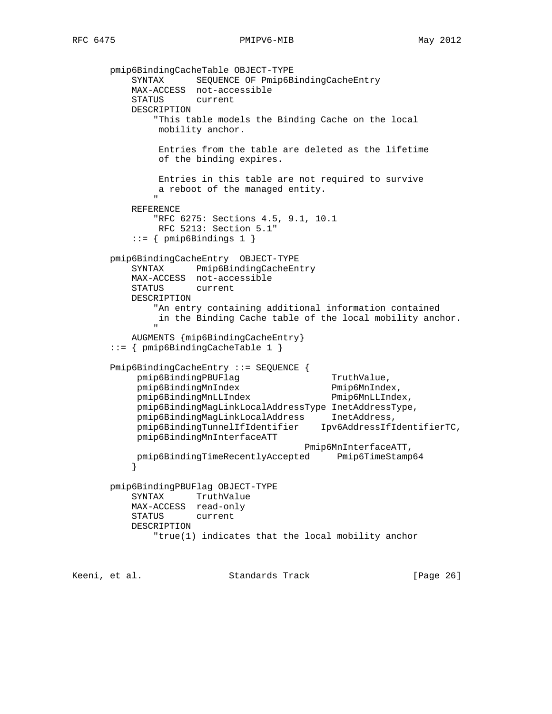```
 pmip6BindingCacheTable OBJECT-TYPE
 SYNTAX SEQUENCE OF Pmip6BindingCacheEntry
 MAX-ACCESS not-accessible
          STATUS current
          DESCRIPTION
              "This table models the Binding Cache on the local
               mobility anchor.
               Entries from the table are deleted as the lifetime
               of the binding expires.
               Entries in this table are not required to survive
              a reboot of the managed entity.
 "
          REFERENCE
              "RFC 6275: Sections 4.5, 9.1, 10.1
               RFC 5213: Section 5.1"
          ::= { pmip6Bindings 1 }
       pmip6BindingCacheEntry OBJECT-TYPE
          SYNTAX Pmip6BindingCacheEntry
          MAX-ACCESS not-accessible
          STATUS current
          DESCRIPTION
              "An entry containing additional information contained
               in the Binding Cache table of the local mobility anchor.
 "
          AUGMENTS {mip6BindingCacheEntry}
       ::= { pmip6BindingCacheTable 1 }
       Pmip6BindingCacheEntry ::= SEQUENCE {
          pmip6BindingPBUFlag TruthValue,
           pmip6BindingMnIndex Pmip6MnIndex,
           pmip6BindingMnLLIndex Pmip6MnLLIndex,
           pmip6BindingMagLinkLocalAddressType InetAddressType,
 pmip6BindingMagLinkLocalAddress InetAddress,
 pmip6BindingTunnelIfIdentifier Ipv6AddressIfIdentifierTC,
           pmip6BindingMnInterfaceATT
                                       Pmip6MnInterfaceATT,
           pmip6BindingTimeRecentlyAccepted Pmip6TimeStamp64
 }
       pmip6BindingPBUFlag OBJECT-TYPE
          SYNTAX TruthValue
          MAX-ACCESS read-only
          STATUS current
          DESCRIPTION
              "true(1) indicates that the local mobility anchor
```
Keeni, et al. Standards Track [Page 26]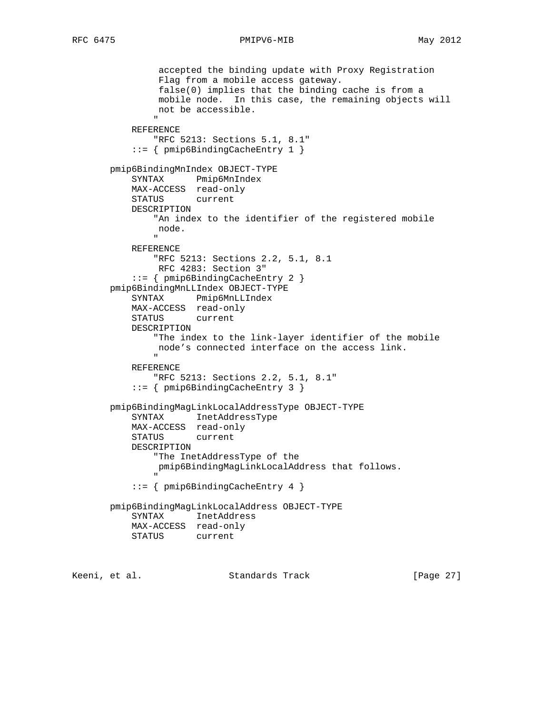```
 accepted the binding update with Proxy Registration
                Flag from a mobile access gateway.
                false(0) implies that the binding cache is from a
                mobile node. In this case, the remaining objects will
               not be accessible.
 "
           REFERENCE
              "RFC 5213: Sections 5.1, 8.1"
           ::= { pmip6BindingCacheEntry 1 }
       pmip6BindingMnIndex OBJECT-TYPE
           SYNTAX Pmip6MnIndex
           MAX-ACCESS read-only
           STATUS current
           DESCRIPTION
               "An index to the identifier of the registered mobile
               node.
 "
           REFERENCE
               "RFC 5213: Sections 2.2, 5.1, 8.1
               RFC 4283: Section 3"
           ::= { pmip6BindingCacheEntry 2 }
       pmip6BindingMnLLIndex OBJECT-TYPE
           SYNTAX Pmip6MnLLIndex
           MAX-ACCESS read-only
           STATUS current
           DESCRIPTION
               "The index to the link-layer identifier of the mobile
               node's connected interface on the access link.
 "
           REFERENCE
              "RFC 5213: Sections 2.2, 5.1, 8.1"
           ::= { pmip6BindingCacheEntry 3 }
       pmip6BindingMagLinkLocalAddressType OBJECT-TYPE
           SYNTAX InetAddressType
           MAX-ACCESS read-only
           STATUS current
           DESCRIPTION
               "The InetAddressType of the
               pmip6BindingMagLinkLocalAddress that follows.
 "
           ::= { pmip6BindingCacheEntry 4 }
       pmip6BindingMagLinkLocalAddress OBJECT-TYPE
           SYNTAX InetAddress
           MAX-ACCESS read-only
           STATUS current
```
Keeni, et al. Standards Track [Page 27]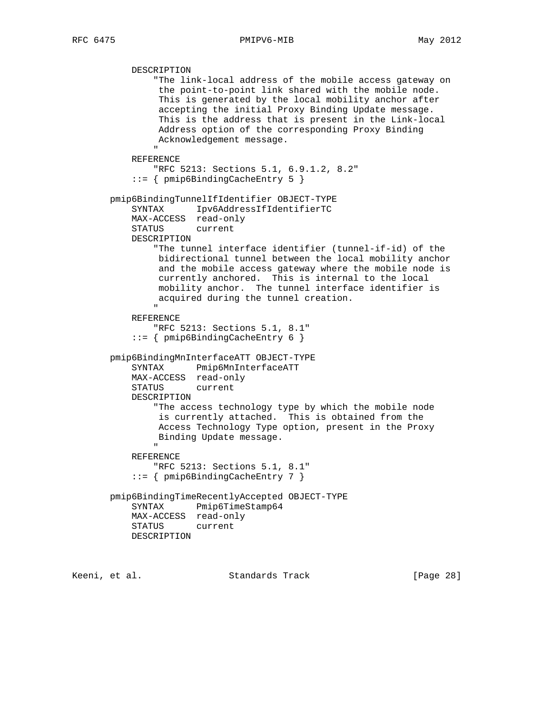```
 DESCRIPTION
                  "The link-local address of the mobile access gateway on
                  the point-to-point link shared with the mobile node.
                  This is generated by the local mobility anchor after
                  accepting the initial Proxy Binding Update message.
                  This is the address that is present in the Link-local
                  Address option of the corresponding Proxy Binding
                  Acknowledgement message.
 "
             REFERENCE
                 "RFC 5213: Sections 5.1, 6.9.1.2, 8.2"
             ::= { pmip6BindingCacheEntry 5 }
        pmip6BindingTunnelIfIdentifier OBJECT-TYPE
             SYNTAX Ipv6AddressIfIdentifierTC
             MAX-ACCESS read-only
             STATUS current
             DESCRIPTION
                 "The tunnel interface identifier (tunnel-if-id) of the
                  bidirectional tunnel between the local mobility anchor
                  and the mobile access gateway where the mobile node is
                  currently anchored. This is internal to the local
                  mobility anchor. The tunnel interface identifier is
                  acquired during the tunnel creation.
" "The contract of the contract of the contract of the contract of the contract of the contract of the contract of the contract of the contract of the contract of the contract of the contract of the contract of the contrac
             REFERENCE
                 "RFC 5213: Sections 5.1, 8.1"
             ::= { pmip6BindingCacheEntry 6 }
        pmip6BindingMnInterfaceATT OBJECT-TYPE
             SYNTAX Pmip6MnInterfaceATT
             MAX-ACCESS read-only
             STATUS current
             DESCRIPTION
                 "The access technology type by which the mobile node
                  is currently attached. This is obtained from the
                  Access Technology Type option, present in the Proxy
                  Binding Update message.
 "
             REFERENCE
                 "RFC 5213: Sections 5.1, 8.1"
             ::= { pmip6BindingCacheEntry 7 }
        pmip6BindingTimeRecentlyAccepted OBJECT-TYPE
             SYNTAX Pmip6TimeStamp64
             MAX-ACCESS read-only
             STATUS current
             DESCRIPTION
```
Keeni, et al. Standards Track [Page 28]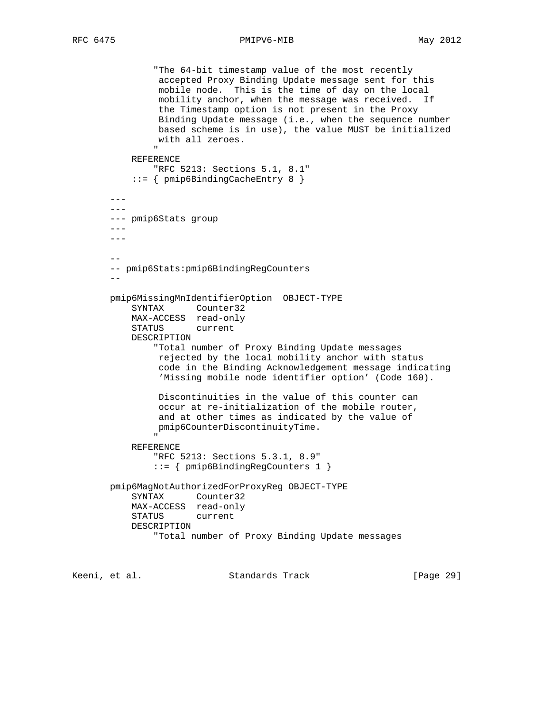"The 64-bit timestamp value of the most recently accepted Proxy Binding Update message sent for this mobile node. This is the time of day on the local mobility anchor, when the message was received. If the Timestamp option is not present in the Proxy Binding Update message (i.e., when the sequence number based scheme is in use), the value MUST be initialized with all zeroes. " REFERENCE "RFC 5213: Sections 5.1, 8.1" ::= { pmip6BindingCacheEntry 8 }  $--$  --- --- pmip6Stats group  $- - - -$  -- -- pmip6Stats:pmip6BindingRegCounters - pmip6MissingMnIdentifierOption OBJECT-TYPE SYNTAX Counter32 MAX-ACCESS read-only STATUS current DESCRIPTION "Total number of Proxy Binding Update messages rejected by the local mobility anchor with status code in the Binding Acknowledgement message indicating 'Missing mobile node identifier option' (Code 160). Discontinuities in the value of this counter can occur at re-initialization of the mobile router, and at other times as indicated by the value of pmip6CounterDiscontinuityTime. " "The contract of the contract of the contract of the contract of the contract of the contract of the contract of the contract of the contract of the contract of the contract of the contract of the contract of the contrac REFERENCE "RFC 5213: Sections 5.3.1, 8.9" ::= { pmip6BindingRegCounters 1 } pmip6MagNotAuthorizedForProxyReg OBJECT-TYPE SYNTAX Counter32 MAX-ACCESS read-only STATUS current DESCRIPTION "Total number of Proxy Binding Update messages

Keeni, et al. Standards Track [Paqe 29]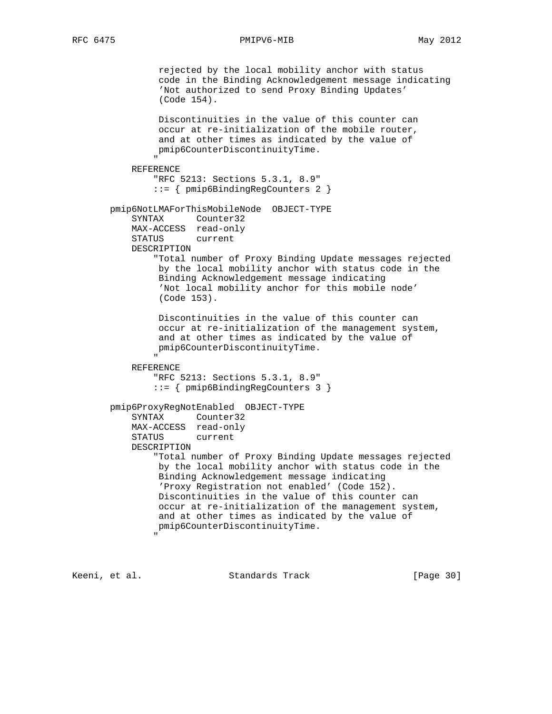rejected by the local mobility anchor with status code in the Binding Acknowledgement message indicating 'Not authorized to send Proxy Binding Updates' (Code 154). Discontinuities in the value of this counter can occur at re-initialization of the mobile router, and at other times as indicated by the value of pmip6CounterDiscontinuityTime. " "The contract of the contract of the contract of the contract of the contract of the contract of the contract of the contract of the contract of the contract of the contract of the contract of the contract of the contrac REFERENCE "RFC 5213: Sections 5.3.1, 8.9" ::= { pmip6BindingRegCounters 2 } pmip6NotLMAForThisMobileNode OBJECT-TYPE SYNTAX Counter32 MAX-ACCESS read-only STATUS current DESCRIPTION "Total number of Proxy Binding Update messages rejected by the local mobility anchor with status code in the Binding Acknowledgement message indicating 'Not local mobility anchor for this mobile node' (Code 153). Discontinuities in the value of this counter can occur at re-initialization of the management system, and at other times as indicated by the value of pmip6CounterDiscontinuityTime. " REFERENCE "RFC 5213: Sections 5.3.1, 8.9" ::= { pmip6BindingRegCounters 3 } pmip6ProxyRegNotEnabled OBJECT-TYPE SYNTAX Counter32 MAX-ACCESS read-only STATUS current DESCRIPTION "Total number of Proxy Binding Update messages rejected by the local mobility anchor with status code in the Binding Acknowledgement message indicating 'Proxy Registration not enabled' (Code 152). Discontinuities in the value of this counter can occur at re-initialization of the management system, and at other times as indicated by the value of pmip6CounterDiscontinuityTime. "

Keeni, et al. Standards Track [Page 30]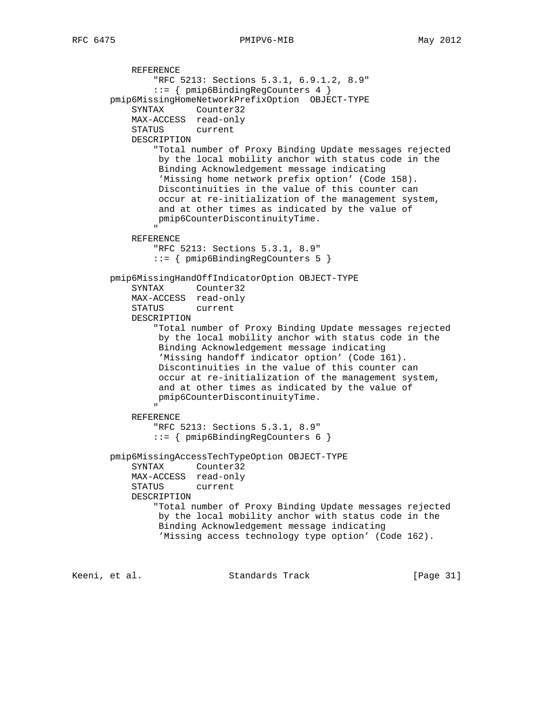```
 REFERENCE
                    "RFC 5213: Sections 5.3.1, 6.9.1.2, 8.9"
                    ::= { pmip6BindingRegCounters 4 }
         pmip6MissingHomeNetworkPrefixOption OBJECT-TYPE
              SYNTAX Counter32
              MAX-ACCESS read-only
              STATUS current
              DESCRIPTION
                    "Total number of Proxy Binding Update messages rejected
                    by the local mobility anchor with status code in the
                     Binding Acknowledgement message indicating
                     'Missing home network prefix option' (Code 158).
                     Discontinuities in the value of this counter can
                     occur at re-initialization of the management system,
                     and at other times as indicated by the value of
                    pmip6CounterDiscontinuityTime.
" "The contract of the contract of the contract of the contract of the contract of the contract of the contract of the contract of the contract of the contract of the contract of the contract of the contract of the contrac
              REFERENCE
                   "RFC 5213: Sections 5.3.1, 8.9"
                   ::= { pmip6BindingRegCounters 5 }
         pmip6MissingHandOffIndicatorOption OBJECT-TYPE
              SYNTAX Counter32
              MAX-ACCESS read-only
              STATUS current
              DESCRIPTION
                    "Total number of Proxy Binding Update messages rejected
                    by the local mobility anchor with status code in the
                     Binding Acknowledgement message indicating
                     'Missing handoff indicator option' (Code 161).
                    Discontinuities in the value of this counter can
                    occur at re-initialization of the management system,
                    and at other times as indicated by the value of
                    pmip6CounterDiscontinuityTime.
" "The contract of the contract of the contract of the contract of the contract of the contract of the contract of the contract of the contract of the contract of the contract of the contract of the contract of the contrac
              REFERENCE
                   "RFC 5213: Sections 5.3.1, 8.9"
                    ::= { pmip6BindingRegCounters 6 }
         pmip6MissingAccessTechTypeOption OBJECT-TYPE
              SYNTAX Counter32
              MAX-ACCESS read-only
              STATUS current
              DESCRIPTION
                    "Total number of Proxy Binding Update messages rejected
                    by the local mobility anchor with status code in the
                    Binding Acknowledgement message indicating
                     'Missing access technology type option' (Code 162).
```
Keeni, et al. Standards Track [Paqe 31]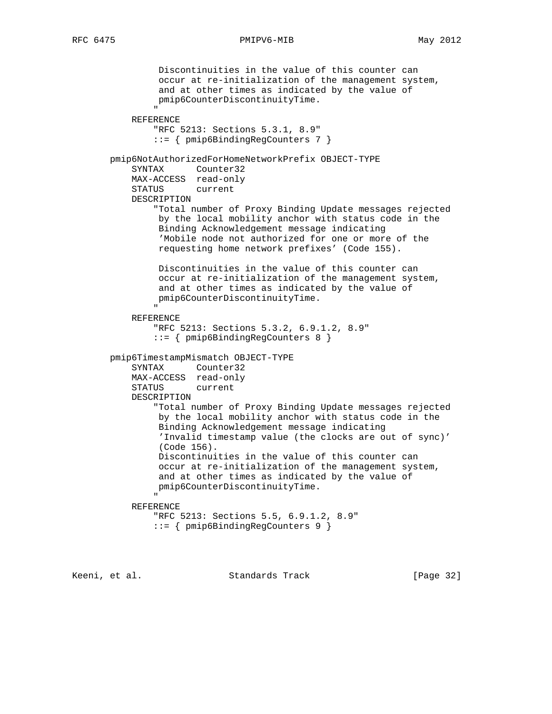Discontinuities in the value of this counter can occur at re-initialization of the management system, and at other times as indicated by the value of pmip6CounterDiscontinuityTime. " "The contract of the contract of the contract of the contract of the contract of the contract of the contract of the contract of the contract of the contract of the contract of the contract of the contract of the contrac REFERENCE "RFC 5213: Sections 5.3.1, 8.9" ::= { pmip6BindingRegCounters 7 } pmip6NotAuthorizedForHomeNetworkPrefix OBJECT-TYPE SYNTAX Counter32 MAX-ACCESS read-only STATUS current DESCRIPTION "Total number of Proxy Binding Update messages rejected by the local mobility anchor with status code in the Binding Acknowledgement message indicating 'Mobile node not authorized for one or more of the requesting home network prefixes' (Code 155). Discontinuities in the value of this counter can occur at re-initialization of the management system, and at other times as indicated by the value of pmip6CounterDiscontinuityTime. " "The contract of the contract of the contract of the contract of the contract of the contract of the contract of the contract of the contract of the contract of the contract of the contract of the contract of the contrac REFERENCE "RFC 5213: Sections 5.3.2, 6.9.1.2, 8.9" ::= { pmip6BindingRegCounters 8 } pmip6TimestampMismatch OBJECT-TYPE SYNTAX Counter32 MAX-ACCESS read-only STATUS current DESCRIPTION "Total number of Proxy Binding Update messages rejected by the local mobility anchor with status code in the Binding Acknowledgement message indicating 'Invalid timestamp value (the clocks are out of sync)' (Code 156). Discontinuities in the value of this counter can occur at re-initialization of the management system, and at other times as indicated by the value of pmip6CounterDiscontinuityTime. " "The contract of the contract of the contract of the contract of the contract of the contract of the contract of the contract of the contract of the contract of the contract of the contract of the contract of the contrac REFERENCE "RFC 5213: Sections 5.5, 6.9.1.2, 8.9" ::= { pmip6BindingRegCounters 9 }

Keeni, et al. Standards Track [Page 32]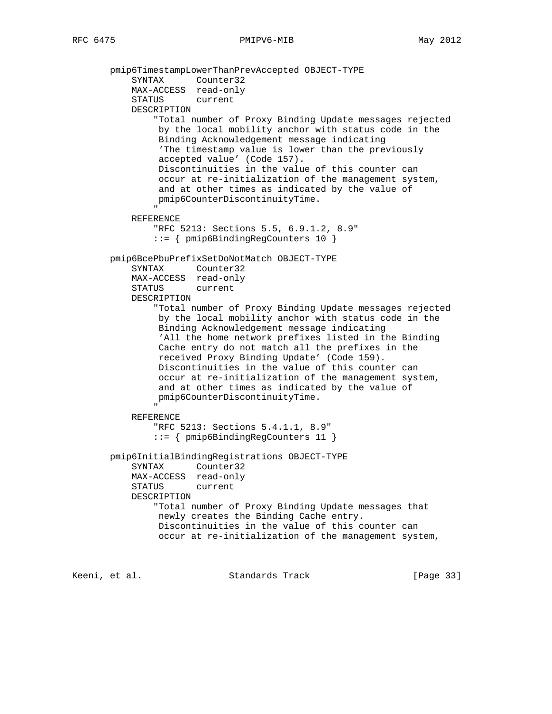pmip6TimestampLowerThanPrevAccepted OBJECT-TYPE SYNTAX Counter32 MAX-ACCESS read-only STATUS current DESCRIPTION "Total number of Proxy Binding Update messages rejected by the local mobility anchor with status code in the Binding Acknowledgement message indicating 'The timestamp value is lower than the previously accepted value' (Code 157). Discontinuities in the value of this counter can occur at re-initialization of the management system, and at other times as indicated by the value of pmip6CounterDiscontinuityTime. " REFERENCE "RFC 5213: Sections 5.5, 6.9.1.2, 8.9" ::= { pmip6BindingRegCounters 10 } pmip6BcePbuPrefixSetDoNotMatch OBJECT-TYPE SYNTAX Counter32 MAX-ACCESS read-only STATUS current DESCRIPTION "Total number of Proxy Binding Update messages rejected by the local mobility anchor with status code in the Binding Acknowledgement message indicating 'All the home network prefixes listed in the Binding Cache entry do not match all the prefixes in the received Proxy Binding Update' (Code 159). Discontinuities in the value of this counter can occur at re-initialization of the management system, and at other times as indicated by the value of pmip6CounterDiscontinuityTime. " "The contract of the contract of the contract of the contract of the contract of the contract of the contract of the contract of the contract of the contract of the contract of the contract of the contract of the contrac REFERENCE "RFC 5213: Sections 5.4.1.1, 8.9" ::= { pmip6BindingRegCounters 11 } pmip6InitialBindingRegistrations OBJECT-TYPE SYNTAX Counter32 MAX-ACCESS read-only STATUS current DESCRIPTION "Total number of Proxy Binding Update messages that newly creates the Binding Cache entry. Discontinuities in the value of this counter can occur at re-initialization of the management system,

Keeni, et al. Standards Track [Page 33]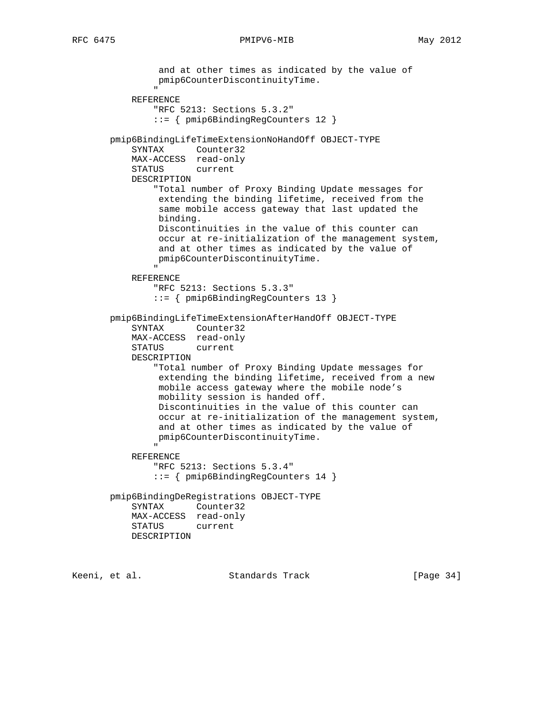```
 and at other times as indicated by the value of
                pmip6CounterDiscontinuityTime.
 "
           REFERENCE
               "RFC 5213: Sections 5.3.2"
               ::= { pmip6BindingRegCounters 12 }
       pmip6BindingLifeTimeExtensionNoHandOff OBJECT-TYPE
           SYNTAX Counter32
           MAX-ACCESS read-only
           STATUS current
           DESCRIPTION
               "Total number of Proxy Binding Update messages for
                extending the binding lifetime, received from the
                same mobile access gateway that last updated the
                binding.
                Discontinuities in the value of this counter can
                occur at re-initialization of the management system,
                and at other times as indicated by the value of
                pmip6CounterDiscontinuityTime.
 "
           REFERENCE
               "RFC 5213: Sections 5.3.3"
               ::= { pmip6BindingRegCounters 13 }
       pmip6BindingLifeTimeExtensionAfterHandOff OBJECT-TYPE
           SYNTAX Counter32
           MAX-ACCESS read-only
           STATUS current
           DESCRIPTION
               "Total number of Proxy Binding Update messages for
                extending the binding lifetime, received from a new
                mobile access gateway where the mobile node's
                mobility session is handed off.
                Discontinuities in the value of this counter can
                occur at re-initialization of the management system,
                and at other times as indicated by the value of
                pmip6CounterDiscontinuityTime.
 "
           REFERENCE
               "RFC 5213: Sections 5.3.4"
               ::= { pmip6BindingRegCounters 14 }
       pmip6BindingDeRegistrations OBJECT-TYPE
           SYNTAX Counter32
           MAX-ACCESS read-only
           STATUS current
           DESCRIPTION
```
Keeni, et al. Standards Track [Page 34]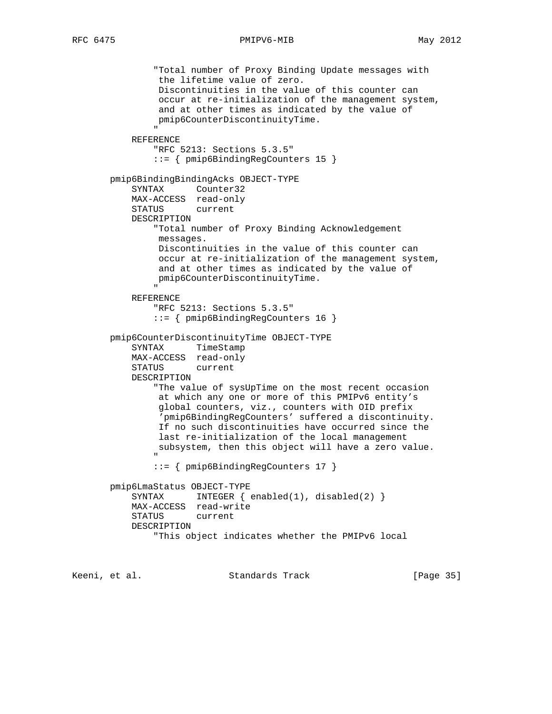```
 "Total number of Proxy Binding Update messages with
                       the lifetime value of zero.
                       Discontinuities in the value of this counter can
                       occur at re-initialization of the management system,
                       and at other times as indicated by the value of
                       pmip6CounterDiscontinuityTime.
" "The contract of the contract of the contract of the contract of the contract of the contract of the contract of the contract of the contract of the contract of the contract of the contract of the contract of the contrac
                REFERENCE
                      "RFC 5213: Sections 5.3.5"
                      ::= { pmip6BindingRegCounters 15 }
          pmip6BindingBindingAcks OBJECT-TYPE
                SYNTAX Counter32
                MAX-ACCESS read-only
                STATUS current
                DESCRIPTION
                      "Total number of Proxy Binding Acknowledgement
                       messages.
                       Discontinuities in the value of this counter can
                       occur at re-initialization of the management system,
                       and at other times as indicated by the value of
                       pmip6CounterDiscontinuityTime.
" "The contract of the contract of the contract of the contract of the contract of the contract of the contract of the contract of the contract of the contract of the contract of the contract of the contract of the contrac
                REFERENCE
                      "RFC 5213: Sections 5.3.5"
                      ::= { pmip6BindingRegCounters 16 }
          pmip6CounterDiscontinuityTime OBJECT-TYPE
                SYNTAX TimeStamp
                MAX-ACCESS read-only
                STATUS current
                DESCRIPTION
                      "The value of sysUpTime on the most recent occasion
                       at which any one or more of this PMIPv6 entity's
                       global counters, viz., counters with OID prefix
                        'pmip6BindingRegCounters' suffered a discontinuity.
                       If no such discontinuities have occurred since the
                       last re-initialization of the local management
                       subsystem, then this object will have a zero value.
" "The contract of the contract of the contract of the contract of the contract of the contract of the contract of the contract of the contract of the contract of the contract of the contract of the contract of the contrac
                      ::= { pmip6BindingRegCounters 17 }
          pmip6LmaStatus OBJECT-TYPE
               SYNTAX INTEGER \{ \text{enabeled}(1), \text{disabeled}(2) \} MAX-ACCESS read-write
                STATUS current
                DESCRIPTION
                      "This object indicates whether the PMIPv6 local
```
Keeni, et al. Standards Track [Paqe 35]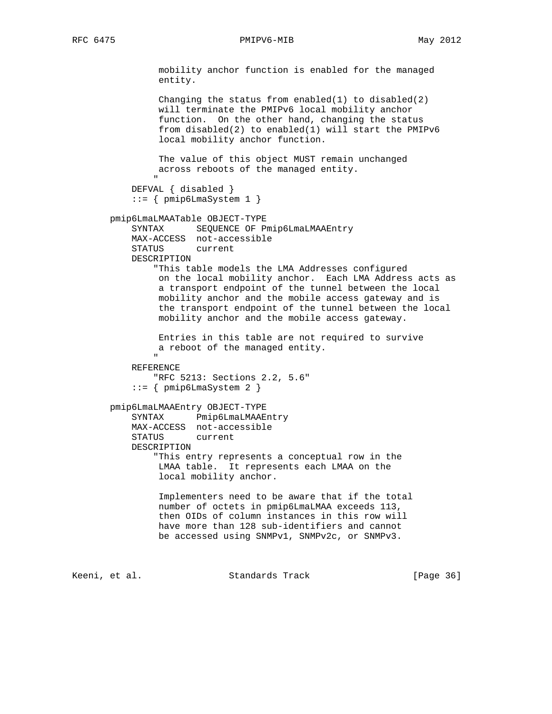mobility anchor function is enabled for the managed entity. Changing the status from enabled(1) to disabled(2) will terminate the PMIPv6 local mobility anchor function. On the other hand, changing the status from disabled(2) to enabled(1) will start the PMIPv6 local mobility anchor function. The value of this object MUST remain unchanged across reboots of the managed entity. " DEFVAL { disabled } ::= { pmip6LmaSystem 1 } pmip6LmaLMAATable OBJECT-TYPE SYNTAX SEQUENCE OF Pmip6LmaLMAAEntry MAX-ACCESS not-accessible STATUS current DESCRIPTION "This table models the LMA Addresses configured on the local mobility anchor. Each LMA Address acts as a transport endpoint of the tunnel between the local mobility anchor and the mobile access gateway and is the transport endpoint of the tunnel between the local mobility anchor and the mobile access gateway. Entries in this table are not required to survive a reboot of the managed entity. " REFERENCE "RFC 5213: Sections 2.2, 5.6"  $::=$  { pmip6LmaSystem 2 } pmip6LmaLMAAEntry OBJECT-TYPE SYNTAX Pmip6LmaLMAAEntry MAX-ACCESS not-accessible STATUS current DESCRIPTION "This entry represents a conceptual row in the LMAA table. It represents each LMAA on the local mobility anchor. Implementers need to be aware that if the total number of octets in pmip6LmaLMAA exceeds 113, then OIDs of column instances in this row will have more than 128 sub-identifiers and cannot be accessed using SNMPv1, SNMPv2c, or SNMPv3.

Keeni, et al. Standards Track [Page 36]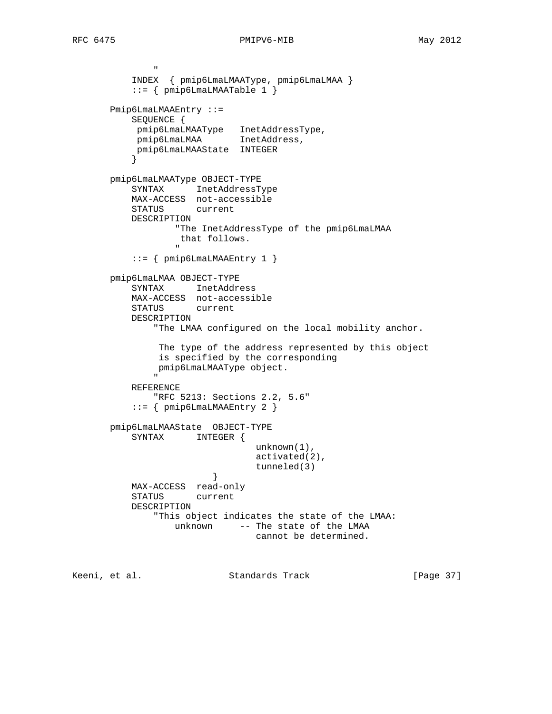" "The contract of the contract of the contract of the contract of the contract of the contract of the contract of the contract of the contract of the contract of the contract of the contract of the contract of the contrac

```
 INDEX { pmip6LmaLMAAType, pmip6LmaLMAA }
               ::= { pmip6LmaLMAATable 1 }
          Pmip6LmaLMAAEntry ::=
               SEQUENCE {
               pmip6LmaLMAAType InetAddressType,
                pmip6LmaLMAA InetAddress,
                pmip6LmaLMAAState INTEGER
 }
         pmip6LmaLMAAType OBJECT-TYPE
               SYNTAX InetAddressType
               MAX-ACCESS not-accessible
               STATUS current
               DESCRIPTION
                          "The InetAddressType of the pmip6LmaLMAA
                           that follows.
" "The contract of the contract of the contract of the contract of the contract of the contract of the contract of the contract of the contract of the contract of the contract of the contract of the contract of the contrac
               ::= { pmip6LmaLMAAEntry 1 }
          pmip6LmaLMAA OBJECT-TYPE
               SYNTAX InetAddress
               MAX-ACCESS not-accessible
               STATUS current
               DESCRIPTION
                     "The LMAA configured on the local mobility anchor.
                      The type of the address represented by this object
                      is specified by the corresponding
                     pmip6LmaLMAAType object.
" "The contract of the contract of the contract of the contract of the contract of the contract of the contract of the contract of the contract of the contract of the contract of the contract of the contract of the contrac
               REFERENCE
                     "RFC 5213: Sections 2.2, 5.6"
               ::= { pmip6LmaLMAAEntry 2 }
          pmip6LmaLMAAState OBJECT-TYPE
               SYNTAX INTEGER {
                                              unknown(1),
                                              activated(2),
                                              tunneled(3)
 }
               MAX-ACCESS read-only
               STATUS current
               DESCRIPTION
                     "This object indicates the state of the LMAA:
                          unknown -- The state of the LMAA
                                              cannot be determined.
```
Keeni, et al. Standards Track [Page 37]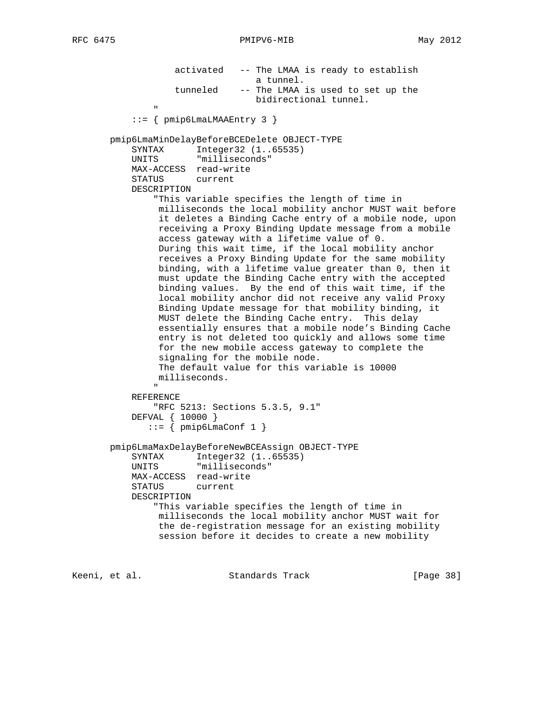activated -- The LMAA is ready to establish a tunnel.<br>tunneled -- The LMAA -- The LMAA is used to set up the bidirectional tunnel. " "The contract of the contract of the contract of the contract of the contract of the contract of the contract of the contract of the contract of the contract of the contract of the contract of the contract of the contrac ::= { pmip6LmaLMAAEntry 3 } pmip6LmaMinDelayBeforeBCEDelete OBJECT-TYPE SYNTAX Integer32 (1..65535) UNITS "milliseconds" MAX-ACCESS read-write STATUS current DESCRIPTION "This variable specifies the length of time in milliseconds the local mobility anchor MUST wait before it deletes a Binding Cache entry of a mobile node, upon receiving a Proxy Binding Update message from a mobile access gateway with a lifetime value of 0. During this wait time, if the local mobility anchor receives a Proxy Binding Update for the same mobility binding, with a lifetime value greater than 0, then it must update the Binding Cache entry with the accepted binding values. By the end of this wait time, if the local mobility anchor did not receive any valid Proxy Binding Update message for that mobility binding, it MUST delete the Binding Cache entry. This delay essentially ensures that a mobile node's Binding Cache entry is not deleted too quickly and allows some time for the new mobile access gateway to complete the signaling for the mobile node. The default value for this variable is 10000 milliseconds. " REFERENCE "RFC 5213: Sections 5.3.5, 9.1" DEFVAL { 10000 }  $::=$  { pmip6LmaConf 1 } pmip6LmaMaxDelayBeforeNewBCEAssign OBJECT-TYPE SYNTAX Integer32 (1..65535) UNITS "milliseconds" MAX-ACCESS read-write STATUS current DESCRIPTION "This variable specifies the length of time in milliseconds the local mobility anchor MUST wait for the de-registration message for an existing mobility session before it decides to create a new mobility

Keeni, et al. Standards Track [Paqe 38]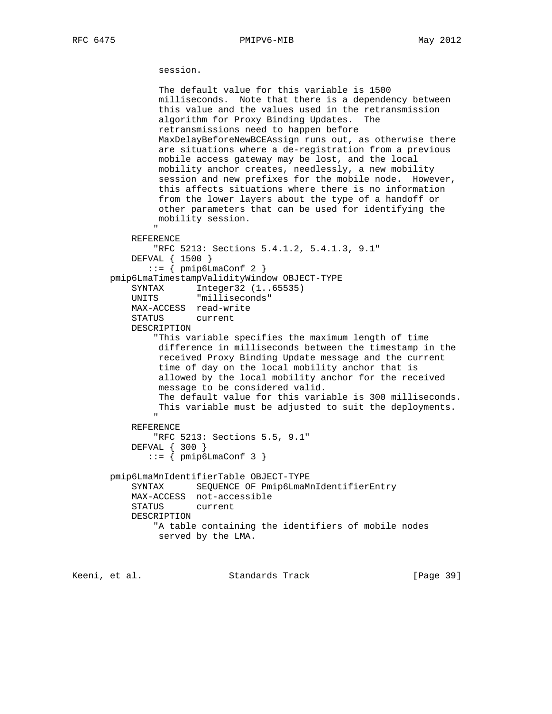session.

```
 The default value for this variable is 1500
                milliseconds. Note that there is a dependency between
                this value and the values used in the retransmission
                algorithm for Proxy Binding Updates. The
                retransmissions need to happen before
                MaxDelayBeforeNewBCEAssign runs out, as otherwise there
                are situations where a de-registration from a previous
                mobile access gateway may be lost, and the local
                mobility anchor creates, needlessly, a new mobility
                session and new prefixes for the mobile node. However,
                this affects situations where there is no information
                from the lower layers about the type of a handoff or
                other parameters that can be used for identifying the
                mobility session.
 "
           REFERENCE
               "RFC 5213: Sections 5.4.1.2, 5.4.1.3, 9.1"
           DEFVAL { 1500 }
             ::= { pmip6LmaConf 2 }
       pmip6LmaTimestampValidityWindow OBJECT-TYPE
 SYNTAX Integer32 (1..65535)
 UNITS "milliseconds"
           MAX-ACCESS read-write
           STATUS current
           DESCRIPTION
               "This variable specifies the maximum length of time
                difference in milliseconds between the timestamp in the
                received Proxy Binding Update message and the current
                time of day on the local mobility anchor that is
                allowed by the local mobility anchor for the received
                message to be considered valid.
                The default value for this variable is 300 milliseconds.
                This variable must be adjusted to suit the deployments.
 "
           REFERENCE
              "RFC 5213: Sections 5.5, 9.1"
           DEFVAL { 300 }
             ::= { pmip6LmaConf 3 }
       pmip6LmaMnIdentifierTable OBJECT-TYPE
           SYNTAX SEQUENCE OF Pmip6LmaMnIdentifierEntry
           MAX-ACCESS not-accessible
           STATUS current
           DESCRIPTION
               "A table containing the identifiers of mobile nodes
               served by the LMA.
```
Keeni, et al. Standards Track [Page 39]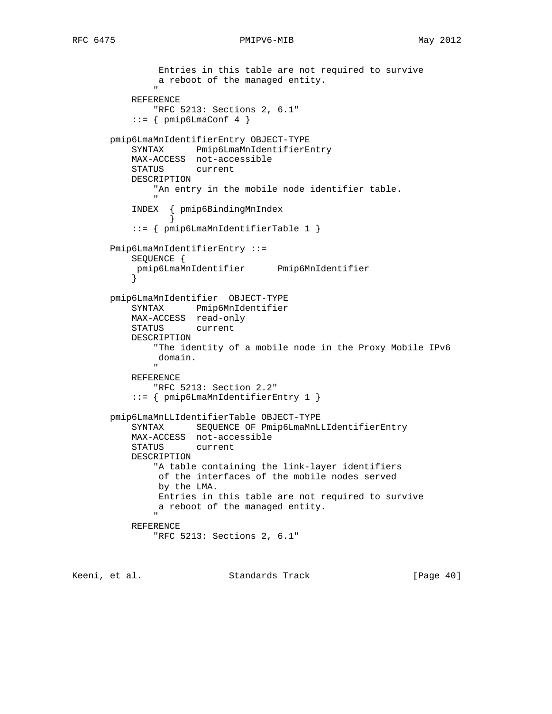```
 Entries in this table are not required to survive
               a reboot of the managed entity.
 "
           REFERENCE
              "RFC 5213: Sections 2, 6.1"
          ::= { pmip6LmaConf 4 }
       pmip6LmaMnIdentifierEntry OBJECT-TYPE
           SYNTAX Pmip6LmaMnIdentifierEntry
           MAX-ACCESS not-accessible
           STATUS current
          DESCRIPTION
              "An entry in the mobile node identifier table.
 "
           INDEX { pmip6BindingMnIndex
 }
           ::= { pmip6LmaMnIdentifierTable 1 }
       Pmip6LmaMnIdentifierEntry ::=
           SEQUENCE {
           pmip6LmaMnIdentifier Pmip6MnIdentifier
 }
       pmip6LmaMnIdentifier OBJECT-TYPE
           SYNTAX Pmip6MnIdentifier
           MAX-ACCESS read-only
           STATUS current
           DESCRIPTION
               "The identity of a mobile node in the Proxy Mobile IPv6
               domain.
 "
           REFERENCE
              "RFC 5213: Section 2.2"
           ::= { pmip6LmaMnIdentifierEntry 1 }
       pmip6LmaMnLLIdentifierTable OBJECT-TYPE
           SYNTAX SEQUENCE OF Pmip6LmaMnLLIdentifierEntry
           MAX-ACCESS not-accessible
           STATUS current
           DESCRIPTION
              "A table containing the link-layer identifiers
               of the interfaces of the mobile nodes served
               by the LMA.
               Entries in this table are not required to survive
               a reboot of the managed entity.
 "
           REFERENCE
              "RFC 5213: Sections 2, 6.1"
```
Keeni, et al. Standards Track [Page 40]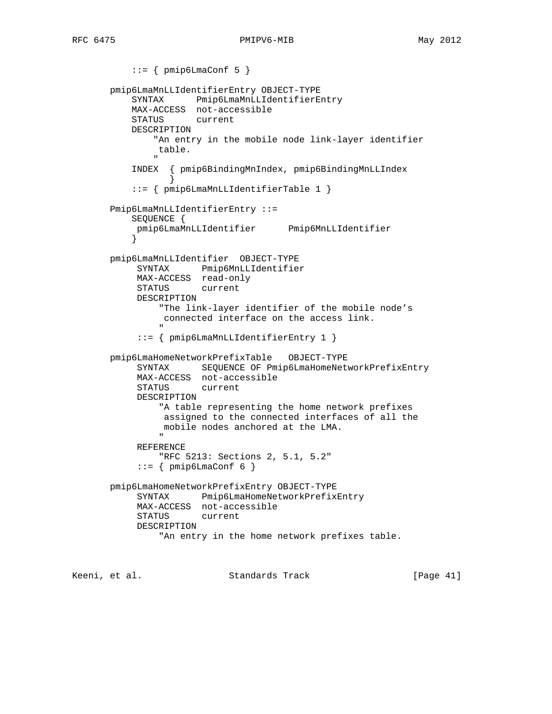```
::= { pmip6LmaConf 5 }
        pmip6LmaMnLLIdentifierEntry OBJECT-TYPE
            SYNTAX Pmip6LmaMnLLIdentifierEntry
            MAX-ACCESS not-accessible
            STATUS current
            DESCRIPTION
                 "An entry in the mobile node link-layer identifier
                 table.
 "
             INDEX { pmip6BindingMnIndex, pmip6BindingMnLLIndex
 }
             ::= { pmip6LmaMnLLIdentifierTable 1 }
        Pmip6LmaMnLLIdentifierEntry ::=
            SEQUENCE {
             pmip6LmaMnLLIdentifier Pmip6MnLLIdentifier
 }
        pmip6LmaMnLLIdentifier OBJECT-TYPE
             SYNTAX Pmip6MnLLIdentifier
             MAX-ACCESS read-only
             STATUS current
             DESCRIPTION
                  "The link-layer identifier of the mobile node's
                   connected interface on the access link.
 "
              ::= { pmip6LmaMnLLIdentifierEntry 1 }
        pmip6LmaHomeNetworkPrefixTable OBJECT-TYPE
              SYNTAX SEQUENCE OF Pmip6LmaHomeNetworkPrefixEntry
             MAX-ACCESS not-accessible
             STATUS current
              DESCRIPTION
                  "A table representing the home network prefixes
                   assigned to the connected interfaces of all the
                   mobile nodes anchored at the LMA.
" "The contract of the contract of the contract of the contract of the contract of the contract of the contract of the contract of the contract of the contract of the contract of the contract of the contract of the contrac
              REFERENCE
                  "RFC 5213: Sections 2, 5.1, 5.2"
             ::= \{ pmip6LmaConf 6 \} pmip6LmaHomeNetworkPrefixEntry OBJECT-TYPE
              SYNTAX Pmip6LmaHomeNetworkPrefixEntry
              MAX-ACCESS not-accessible
              STATUS current
              DESCRIPTION
                 "An entry in the home network prefixes table.
```
Keeni, et al. Standards Track [Page 41]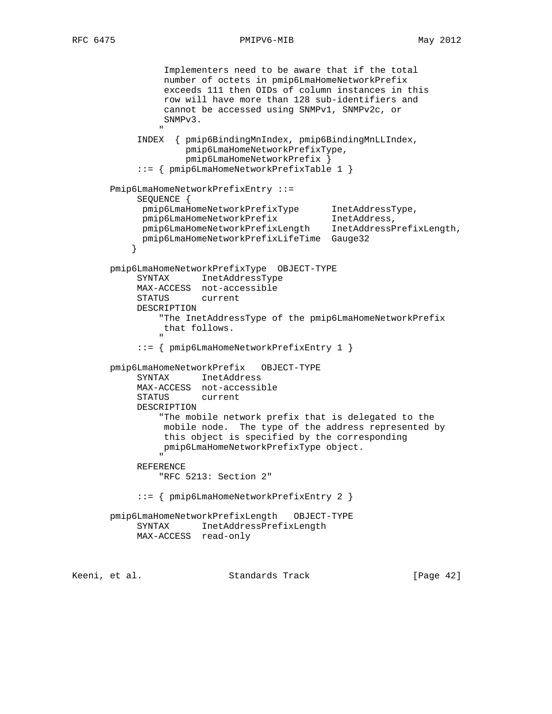```
RFC 6475 PMIPV6-MIB May 2012
```

```
 Implementers need to be aware that if the total
                        number of octets in pmip6LmaHomeNetworkPrefix
                        exceeds 111 then OIDs of column instances in this
                        row will have more than 128 sub-identifiers and
                        cannot be accessed using SNMPv1, SNMPv2c, or
                        SNMPv3.
" "The contract of the contract of the contract of the contract of the contract of the contract of the contract of the contract of the contract of the contract of the contract of the contract of the contract of the contrac
                 INDEX { pmip6BindingMnIndex, pmip6BindingMnLLIndex,
                              pmip6LmaHomeNetworkPrefixType,
                              pmip6LmaHomeNetworkPrefix }
                  ::= { pmip6LmaHomeNetworkPrefixTable 1 }
          Pmip6LmaHomeNetworkPrefixEntry ::=
                 SEQUENCE {
 pmip6LmaHomeNetworkPrefixType InetAddressType,
 pmip6LmaHomeNetworkPrefix InetAddress,
                  pmip6LmaHomeNetworkPrefixLength InetAddressPrefixLength,
                  pmip6LmaHomeNetworkPrefixLifeTime Gauge32
 }
          pmip6LmaHomeNetworkPrefixType OBJECT-TYPE
                 SYNTAX InetAddressType
                 MAX-ACCESS not-accessible
                 STATUS current
                 DESCRIPTION
                       "The InetAddressType of the pmip6LmaHomeNetworkPrefix
                        that follows.
" "The contract of the contract of the contract of the contract of the contract of the contract of the contract of the contract of the contract of the contract of the contract of the contract of the contract of the contrac
                  ::= { pmip6LmaHomeNetworkPrefixEntry 1 }
          pmip6LmaHomeNetworkPrefix OBJECT-TYPE
                 SYNTAX InetAddress
                 MAX-ACCESS not-accessible
                 STATUS current
                 DESCRIPTION
                       "The mobile network prefix that is delegated to the
                        mobile node. The type of the address represented by
                        this object is specified by the corresponding
                        pmip6LmaHomeNetworkPrefixType object.
" "The contract of the contract of the contract of the contract of the contract of the contract of the contract of the contract of the contract of the contract of the contract of the contract of the contract of the contrac
                 REFERENCE
                       "RFC 5213: Section 2"
                 ::= { pmip6LmaHomeNetworkPrefixEntry 2 }
          pmip6LmaHomeNetworkPrefixLength OBJECT-TYPE
                 SYNTAX InetAddressPrefixLength
                 MAX-ACCESS read-only
Keeni, et al.                       Standards Track                     [Page 42]
```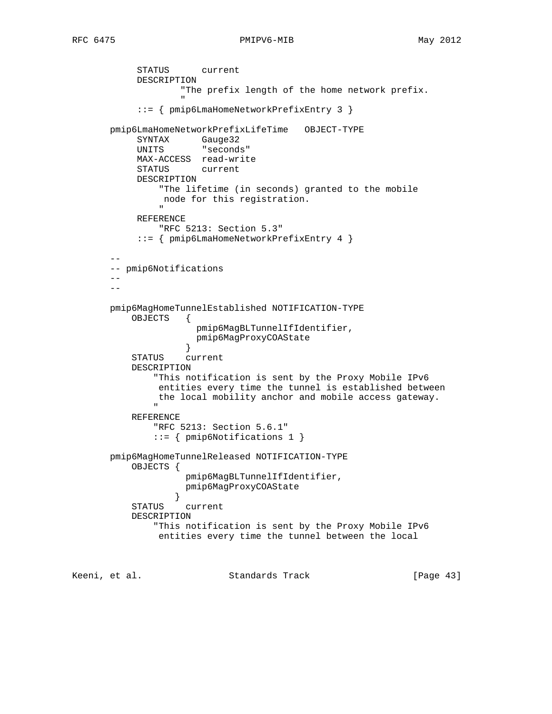```
 STATUS current
           DESCRIPTION
                   "The prefix length of the home network prefix.
 "
            ::= { pmip6LmaHomeNetworkPrefixEntry 3 }
       pmip6LmaHomeNetworkPrefixLifeTime OBJECT-TYPE
           SYNTAX Gauge32
           UNITS "seconds"
           MAX-ACCESS read-write
           STATUS current
           DESCRIPTION
               "The lifetime (in seconds) granted to the mobile
                node for this registration.
 "
           REFERENCE
               "RFC 5213: Section 5.3"
            ::= { pmip6LmaHomeNetworkPrefixEntry 4 }
 --
       -- pmip6Notifications
       --
      - pmip6MagHomeTunnelEstablished NOTIFICATION-TYPE
           OBJECTS {
                      pmip6MagBLTunnelIfIdentifier,
                      pmip6MagProxyCOAState
 }
           STATUS current
           DESCRIPTION
               "This notification is sent by the Proxy Mobile IPv6
               entities every time the tunnel is established between
             the local mobility anchor and mobile access gateway.
 "
           REFERENCE
              "RFC 5213: Section 5.6.1"
              ::= { pmip6Notifications 1 }
       pmip6MagHomeTunnelReleased NOTIFICATION-TYPE
           OBJECTS {
                    pmip6MagBLTunnelIfIdentifier,
                    pmip6MagProxyCOAState
 }
           STATUS current
           DESCRIPTION
               "This notification is sent by the Proxy Mobile IPv6
               entities every time the tunnel between the local
```
Keeni, et al. Standards Track [Page 43]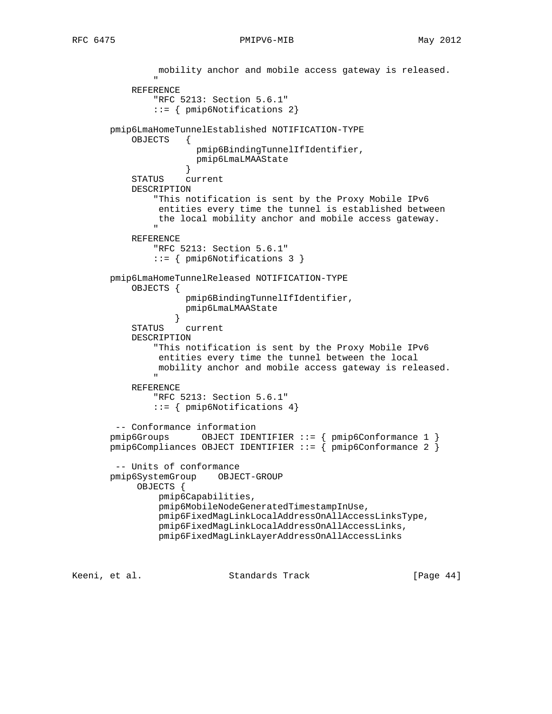```
 mobility anchor and mobile access gateway is released.
 "
           REFERENCE
               "RFC 5213: Section 5.6.1"
               ::= { pmip6Notifications 2}
       pmip6LmaHomeTunnelEstablished NOTIFICATION-TYPE
           OBJECTS {
                      pmip6BindingTunnelIfIdentifier,
                      pmip6LmaLMAAState
 }
           STATUS current
           DESCRIPTION
               "This notification is sent by the Proxy Mobile IPv6
                entities every time the tunnel is established between
                the local mobility anchor and mobile access gateway.
 "
           REFERENCE
               "RFC 5213: Section 5.6.1"
               ::= { pmip6Notifications 3 }
       pmip6LmaHomeTunnelReleased NOTIFICATION-TYPE
           OBJECTS {
                    pmip6BindingTunnelIfIdentifier,
                    pmip6LmaLMAAState
 }
           STATUS current
           DESCRIPTION
               "This notification is sent by the Proxy Mobile IPv6
                entities every time the tunnel between the local
               mobility anchor and mobile access gateway is released.
 "
           REFERENCE
               "RFC 5213: Section 5.6.1"
               ::= { pmip6Notifications 4}
        -- Conformance information
 pmip6Groups OBJECT IDENTIFIER ::= { pmip6Conformance 1 }
 pmip6Compliances OBJECT IDENTIFIER ::= { pmip6Conformance 2 }
        -- Units of conformance
       pmip6SystemGroup OBJECT-GROUP
            OBJECTS {
                pmip6Capabilities,
                pmip6MobileNodeGeneratedTimestampInUse,
                pmip6FixedMagLinkLocalAddressOnAllAccessLinksType,
                pmip6FixedMagLinkLocalAddressOnAllAccessLinks,
                pmip6FixedMagLinkLayerAddressOnAllAccessLinks
```
Keeni, et al. Standards Track [Paqe 44]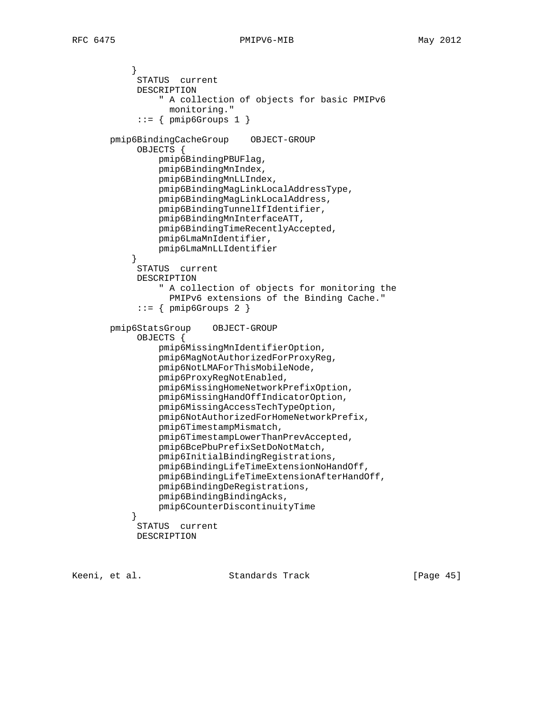```
 }
             STATUS current
             DESCRIPTION
                 " A collection of objects for basic PMIPv6
                  monitoring."
            ::= { pmip6Groups 1 }
       pmip6BindingCacheGroup OBJECT-GROUP
             OBJECTS {
                 pmip6BindingPBUFlag,
                 pmip6BindingMnIndex,
                 pmip6BindingMnLLIndex,
                 pmip6BindingMagLinkLocalAddressType,
                 pmip6BindingMagLinkLocalAddress,
                 pmip6BindingTunnelIfIdentifier,
                 pmip6BindingMnInterfaceATT,
                 pmip6BindingTimeRecentlyAccepted,
                 pmip6LmaMnIdentifier,
                 pmip6LmaMnLLIdentifier
 }
             STATUS current
             DESCRIPTION
                 " A collection of objects for monitoring the
                   PMIPv6 extensions of the Binding Cache."
             ::= { pmip6Groups 2 }
        pmip6StatsGroup OBJECT-GROUP
             OBJECTS {
                 pmip6MissingMnIdentifierOption,
                 pmip6MagNotAuthorizedForProxyReg,
                 pmip6NotLMAForThisMobileNode,
                 pmip6ProxyRegNotEnabled,
                 pmip6MissingHomeNetworkPrefixOption,
                 pmip6MissingHandOffIndicatorOption,
                 pmip6MissingAccessTechTypeOption,
                 pmip6NotAuthorizedForHomeNetworkPrefix,
                 pmip6TimestampMismatch,
                 pmip6TimestampLowerThanPrevAccepted,
                 pmip6BcePbuPrefixSetDoNotMatch,
                 pmip6InitialBindingRegistrations,
                 pmip6BindingLifeTimeExtensionNoHandOff,
                 pmip6BindingLifeTimeExtensionAfterHandOff,
                 pmip6BindingDeRegistrations,
                 pmip6BindingBindingAcks,
                 pmip6CounterDiscontinuityTime
 }
             STATUS current
             DESCRIPTION
```
Keeni, et al. Standards Track [Page 45]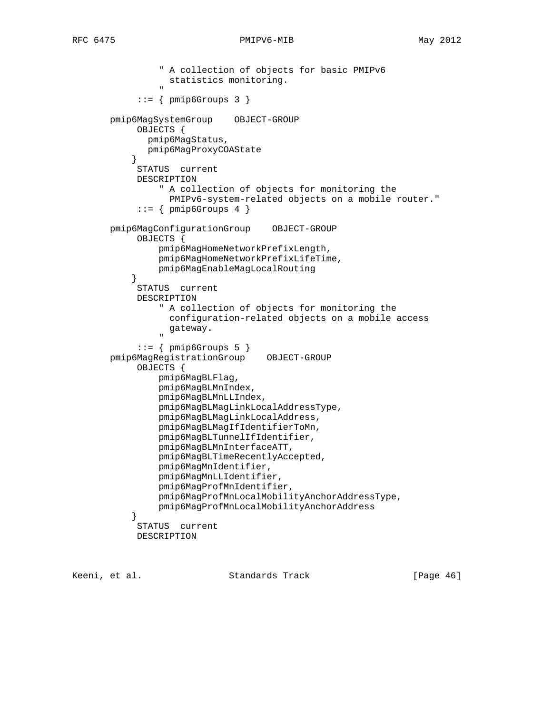```
 " A collection of objects for basic PMIPv6
                     statistics monitoring.
 "
               ::= { pmip6Groups 3 }
        pmip6MagSystemGroup OBJECT-GROUP
              OBJECTS {
                pmip6MagStatus,
                 pmip6MagProxyCOAState
 }
              STATUS current
              DESCRIPTION
                    " A collection of objects for monitoring the
                     PMIPv6-system-related objects on a mobile router."
              ::= { pmip6Groups 4 }
        pmip6MagConfigurationGroup OBJECT-GROUP
              OBJECTS {
                   pmip6MagHomeNetworkPrefixLength,
                   pmip6MagHomeNetworkPrefixLifeTime,
                   pmip6MagEnableMagLocalRouting
 }
              STATUS current
              DESCRIPTION
                    " A collection of objects for monitoring the
                     configuration-related objects on a mobile access
                     gateway.
" "The contract of the contract of the contract of the contract of the contract of the contract of the contract of the contract of the contract of the contract of the contract of the contract of the contract of the contrac
              ::= { pmip6Groups 5 }
        pmip6MagRegistrationGroup OBJECT-GROUP
              OBJECTS {
                   pmip6MagBLFlag,
                   pmip6MagBLMnIndex,
                   pmip6MagBLMnLLIndex,
                   pmip6MagBLMagLinkLocalAddressType,
                   pmip6MagBLMagLinkLocalAddress,
                   pmip6MagBLMagIfIdentifierToMn,
                   pmip6MagBLTunnelIfIdentifier,
                   pmip6MagBLMnInterfaceATT,
                   pmip6MagBLTimeRecentlyAccepted,
                   pmip6MagMnIdentifier,
                   pmip6MagMnLLIdentifier,
                   pmip6MagProfMnIdentifier,
                   pmip6MagProfMnLocalMobilityAnchorAddressType,
                   pmip6MagProfMnLocalMobilityAnchorAddress
 }
              STATUS current
              DESCRIPTION
```
Keeni, et al. Standards Track [Page 46]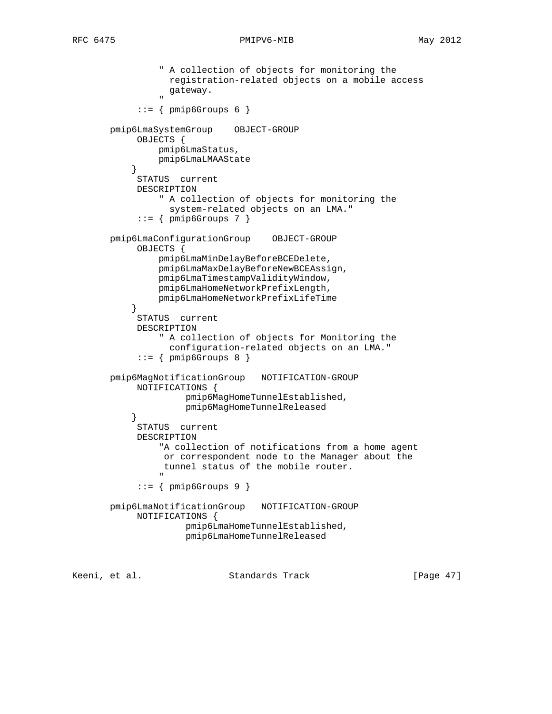```
 " A collection of objects for monitoring the
                     registration-related objects on a mobile access
                    gateway.
" "The contract of the contract of the contract of the contract of the contract of the contract of the contract of the contract of the contract of the contract of the contract of the contract of the contract of the contrac
               ::= { pmip6Groups 6 }
        pmip6LmaSystemGroup OBJECT-GROUP
              OBJECTS {
                   pmip6LmaStatus,
                   pmip6LmaLMAAState
 }
              STATUS current
              DESCRIPTION
                   " A collection of objects for monitoring the
                     system-related objects on an LMA."
              ::= { pmip6Groups 7 }
        pmip6LmaConfigurationGroup OBJECT-GROUP
              OBJECTS {
                   pmip6LmaMinDelayBeforeBCEDelete,
                   pmip6LmaMaxDelayBeforeNewBCEAssign,
                   pmip6LmaTimestampValidityWindow,
                   pmip6LmaHomeNetworkPrefixLength,
                   pmip6LmaHomeNetworkPrefixLifeTime
 }
              STATUS current
              DESCRIPTION
                   " A collection of objects for Monitoring the
                      configuration-related objects on an LMA."
              ::= { pmip6Groups 8 }
        pmip6MagNotificationGroup NOTIFICATION-GROUP
              NOTIFICATIONS {
                         pmip6MagHomeTunnelEstablished,
                         pmip6MagHomeTunnelReleased
 }
              STATUS current
              DESCRIPTION
                   "A collection of notifications from a home agent
                    or correspondent node to the Manager about the
                    tunnel status of the mobile router.
 "
               ::= { pmip6Groups 9 }
        pmip6LmaNotificationGroup NOTIFICATION-GROUP
              NOTIFICATIONS {
                         pmip6LmaHomeTunnelEstablished,
                         pmip6LmaHomeTunnelReleased
```
Keeni, et al. Standards Track [Page 47]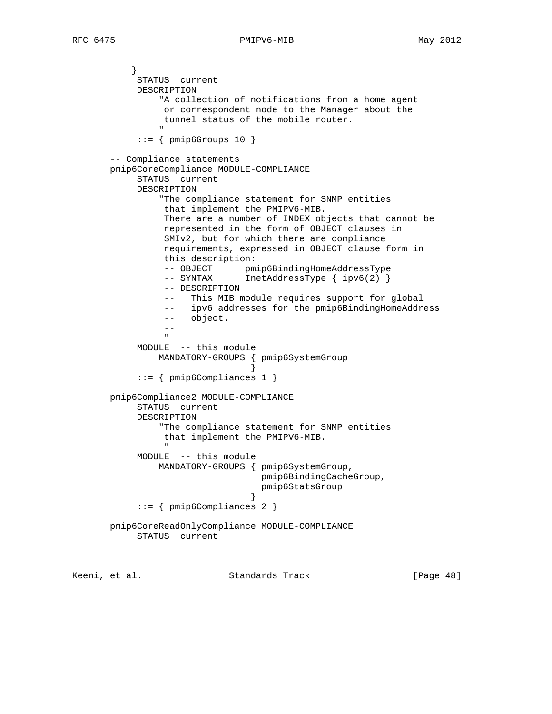} STATUS current DESCRIPTION "A collection of notifications from a home agent or correspondent node to the Manager about the tunnel status of the mobile router. " "The contract of the contract of the contract of the contract of the contract of the contract of the contract of the contract of the contract of the contract of the contract of the contract of the contract of the contrac  $::=$  { pmip6Groups 10 } -- Compliance statements pmip6CoreCompliance MODULE-COMPLIANCE STATUS current DESCRIPTION "The compliance statement for SNMP entities that implement the PMIPV6-MIB. There are a number of INDEX objects that cannot be represented in the form of OBJECT clauses in SMIv2, but for which there are compliance requirements, expressed in OBJECT clause form in this description: -- OBJECT pmip6BindingHomeAddressType -- SYNTAX InetAddressType { ipv6(2) } -- DESCRIPTION -- This MIB module requires support for global -- ipv6 addresses for the pmip6BindingHomeAddress -- object. -- " MODULE -- this module MANDATORY-GROUPS { pmip6SystemGroup } ::= { pmip6Compliances 1 } pmip6Compliance2 MODULE-COMPLIANCE STATUS current DESCRIPTION "The compliance statement for SNMP entities that implement the PMIPV6-MIB. " MODULE -- this module MANDATORY-GROUPS { pmip6SystemGroup, pmip6BindingCacheGroup, pmip6StatsGroup } ::= { pmip6Compliances 2 } pmip6CoreReadOnlyCompliance MODULE-COMPLIANCE STATUS current

Keeni, et al. Standards Track [Page 48]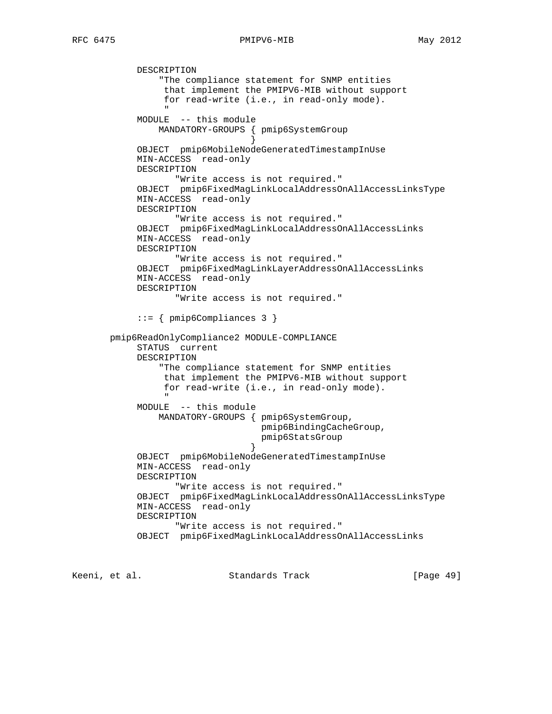DESCRIPTION

## RFC 6475 PMIPV6-MIB May 2012

```
 "The compliance statement for SNMP entities
                 that implement the PMIPV6-MIB without support
                 for read-write (i.e., in read-only mode).
 "
            MODULE -- this module
               MANDATORY-GROUPS { pmip6SystemGroup
 }
            OBJECT pmip6MobileNodeGeneratedTimestampInUse
            MIN-ACCESS read-only
            DESCRIPTION
                  "Write access is not required."
            OBJECT pmip6FixedMagLinkLocalAddressOnAllAccessLinksType
            MIN-ACCESS read-only
            DESCRIPTION
                  "Write access is not required."
            OBJECT pmip6FixedMagLinkLocalAddressOnAllAccessLinks
            MIN-ACCESS read-only
            DESCRIPTION
                  "Write access is not required."
            OBJECT pmip6FixedMagLinkLayerAddressOnAllAccessLinks
            MIN-ACCESS read-only
            DESCRIPTION
                   "Write access is not required."
            ::= { pmip6Compliances 3 }
       pmip6ReadOnlyCompliance2 MODULE-COMPLIANCE
            STATUS current
            DESCRIPTION
                "The compliance statement for SNMP entities
                 that implement the PMIPV6-MIB without support
                 for read-write (i.e., in read-only mode).
 "
            MODULE -- this module
                MANDATORY-GROUPS { pmip6SystemGroup,
                                  pmip6BindingCacheGroup,
                                  pmip6StatsGroup
 }
            OBJECT pmip6MobileNodeGeneratedTimestampInUse
            MIN-ACCESS read-only
            DESCRIPTION
                  "Write access is not required."
            OBJECT pmip6FixedMagLinkLocalAddressOnAllAccessLinksType
            MIN-ACCESS read-only
            DESCRIPTION
                   "Write access is not required."
            OBJECT pmip6FixedMagLinkLocalAddressOnAllAccessLinks
```
Keeni, et al. Standards Track [Page 49]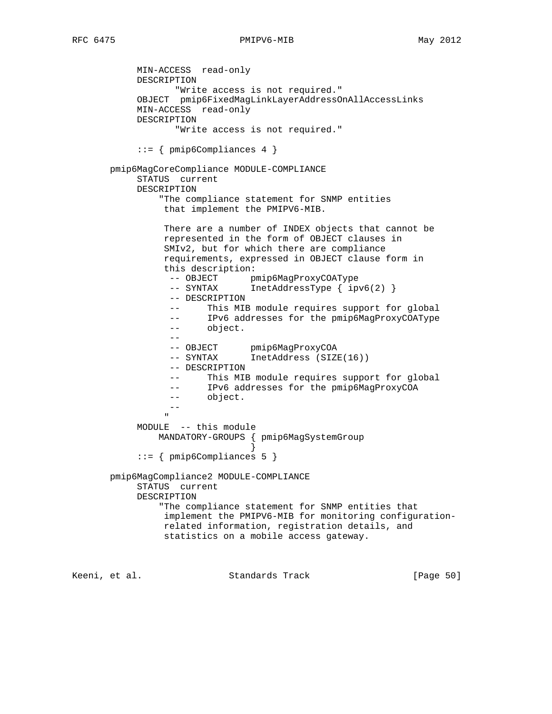MIN-ACCESS read-only DESCRIPTION "Write access is not required." OBJECT pmip6FixedMagLinkLayerAddressOnAllAccessLinks MIN-ACCESS read-only DESCRIPTION "Write access is not required."  $::=$  { pmip6Compliances 4 } pmip6MagCoreCompliance MODULE-COMPLIANCE STATUS current DESCRIPTION "The compliance statement for SNMP entities that implement the PMIPV6-MIB. There are a number of INDEX objects that cannot be represented in the form of OBJECT clauses in SMIv2, but for which there are compliance requirements, expressed in OBJECT clause form in this description: -- OBJECT pmip6MagProxyCOAType -- SYNTAX InetAddressType { ipv6(2) } -- DESCRIPTION -- This MIB module requires support for global -- IPv6 addresses for the pmip6MagProxyCOAType -- object. -- -- OBJECT pmip6MagProxyCOA -- SYNTAX InetAddress (SIZE(16)) -- DESCRIPTION -- This MIB module requires support for global -- IPv6 addresses for the pmip6MagProxyCOA -- object. -- " MODULE -- this module MANDATORY-GROUPS { pmip6MagSystemGroup } ::= { pmip6Compliances 5 } pmip6MagCompliance2 MODULE-COMPLIANCE STATUS current DESCRIPTION "The compliance statement for SNMP entities that implement the PMIPV6-MIB for monitoring configuration related information, registration details, and statistics on a mobile access gateway. Keeni, et al. Standards Track [Page 50]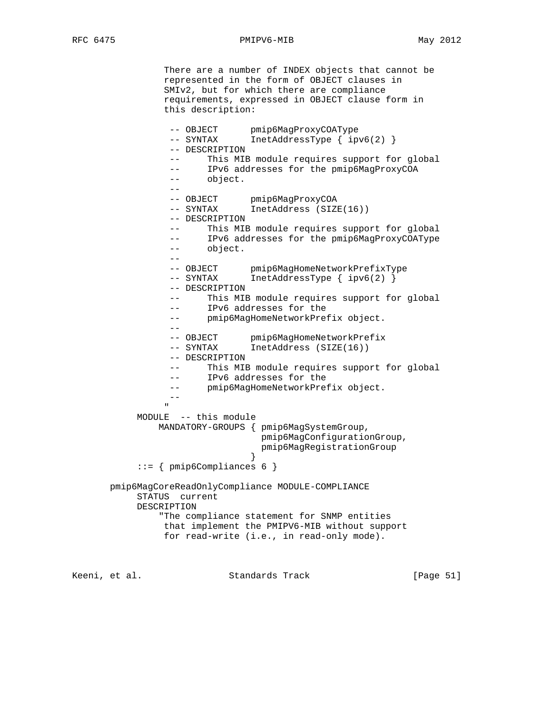There are a number of INDEX objects that cannot be represented in the form of OBJECT clauses in SMIv2, but for which there are compliance requirements, expressed in OBJECT clause form in this description:

```
-- OBJECT pmip6MagProxyCOAType
 -- SYNTAX InetAddressType { ipv6(2) }
               -- DESCRIPTION
               -- This MIB module requires support for global
              -- IPv6 addresses for the pmip6MagProxyCOA
               -- object.
 --
              -- OBJECT pmip6MagProxyCOA<br>-- SYNTAX InetAddress (SIZ)
               -- SYNTAX InetAddress (SIZE(16))
               -- DESCRIPTION
               -- This MIB module requires support for global
               -- IPv6 addresses for the pmip6MagProxyCOAType
               -- object.
 --
 -- OBJECT pmip6MagHomeNetworkPrefixType
 -- SYNTAX InetAddressType { ipv6(2) }
               -- DESCRIPTION
               -- This MIB module requires support for global
               -- IPv6 addresses for the
                -- pmip6MagHomeNetworkPrefix object.
 --
-- OBJECT pmip6MagHomeNetworkPrefix
 -- SYNTAX InetAddress (SIZE(16))
               -- DESCRIPTION
               -- This MIB module requires support for global
               -- IPv6 addresses for the
              -- pmip6MagHomeNetworkPrefix object.
 --
 "
          MODULE -- this module
              MANDATORY-GROUPS { pmip6MagSystemGroup,
                             pmip6MagConfigurationGroup,
                             pmip6MagRegistrationGroup
 }
           ::= { pmip6Compliances 6 }
      pmip6MagCoreReadOnlyCompliance MODULE-COMPLIANCE
          STATUS current
          DESCRIPTION
              "The compliance statement for SNMP entities
               that implement the PMIPV6-MIB without support
               for read-write (i.e., in read-only mode).
```
Keeni, et al. Standards Track [Paqe 51]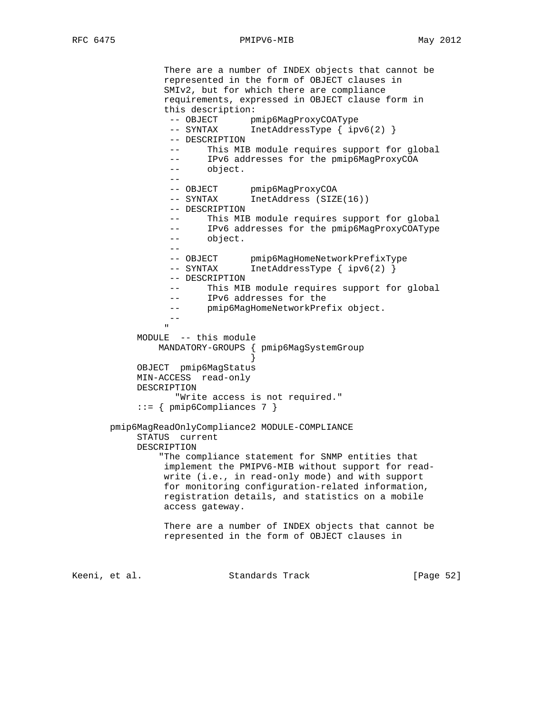There are a number of INDEX objects that cannot be represented in the form of OBJECT clauses in SMIv2, but for which there are compliance requirements, expressed in OBJECT clause form in this description: -- OBJECT pmip6MagProxyCOAType -- SYNTAX InetAddressType { ipv6(2) } -- DESCRIPTION -- This MIB module requires support for global -- IPv6 addresses for the pmip6MagProxyCOA -- object. -- -- OBJECT pmip6MagProxyCOA -- SYNTAX InetAddress (SIZE(16)) -- DESCRIPTION -- This MIB module requires support for global -- IPv6 addresses for the pmip6MagProxyCOAType -- object. -- -- OBJECT pmip6MagHomeNetworkPrefixType -- SYNTAX InetAddressType { ipv6(2) } -- DESCRIPTION -- This MIB module requires support for global -- IPv6 addresses for the -- interesting<br>-- pmip6MagHomeNetworkPrefix object. -- " MODULE -- this module MANDATORY-GROUPS { pmip6MagSystemGroup } OBJECT pmip6MagStatus MIN-ACCESS read-only DESCRIPTION "Write access is not required." ::= { pmip6Compliances 7 } pmip6MagReadOnlyCompliance2 MODULE-COMPLIANCE STATUS current DESCRIPTION "The compliance statement for SNMP entities that implement the PMIPV6-MIB without support for read write (i.e., in read-only mode) and with support for monitoring configuration-related information, registration details, and statistics on a mobile access gateway. There are a number of INDEX objects that cannot be represented in the form of OBJECT clauses in

Keeni, et al. Standards Track [Page 52]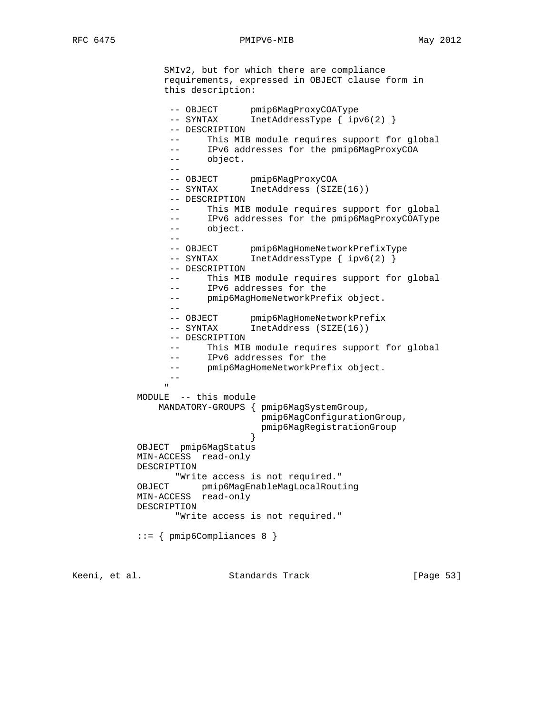SMIv2, but for which there are compliance requirements, expressed in OBJECT clause form in this description: -- OBJECT pmip6MagProxyCOAType -- SYNTAX InetAddressType { ipv6(2) } -- DESCRIPTION -- This MIB module requires support for global -- IPv6 addresses for the pmip6MagProxyCOA -- object. -- -- OBJECT pmip6MagProxyCOA -- SYNTAX InetAddress (SIZE(16)) -- DESCRIPTION -- This MIB module requires support for global -- IPv6 addresses for the pmip6MagProxyCOAType -- object. -- -- OBJECT pmip6MagHomeNetworkPrefixType -- SYNTAX InetAddressType { ipv6(2) } -- DESCRIPTION -- This MIB module requires support for global -- IPv6 addresses for the -- pmip6MagHomeNetworkPrefix object. -- -- OBJECT pmip6MagHomeNetworkPrefix -- SYNTAX InetAddress (SIZE(16)) -- DESCRIPTION -- This MIB module requires support for global -- IPv6 addresses for the -- pmip6MagHomeNetworkPrefix object. -- " MODULE -- this module MANDATORY-GROUPS { pmip6MagSystemGroup, pmip6MagConfigurationGroup, pmip6MagRegistrationGroup } OBJECT pmip6MagStatus MIN-ACCESS read-only DESCRIPTION "Write access is not required." OBJECT pmip6MagEnableMagLocalRouting MIN-ACCESS read-only DESCRIPTION "Write access is not required." ::= { pmip6Compliances 8 }

Keeni, et al. Standards Track [Page 53]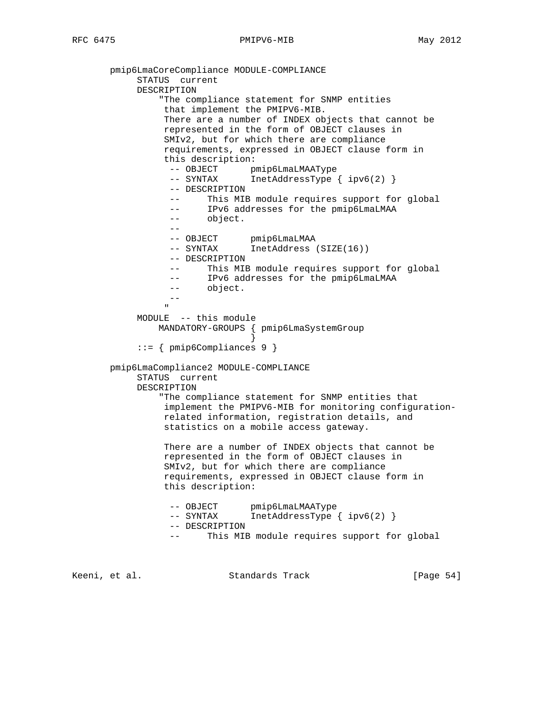```
 pmip6LmaCoreCompliance MODULE-COMPLIANCE
           STATUS current
           DESCRIPTION
               "The compliance statement for SNMP entities
               that implement the PMIPV6-MIB.
               There are a number of INDEX objects that cannot be
               represented in the form of OBJECT clauses in
               SMIv2, but for which there are compliance
               requirements, expressed in OBJECT clause form in
               this description:
-- OBJECT pmip6LmaLMAAType
 -- SYNTAX InetAddressType { ipv6(2) }
                -- DESCRIPTION
                  This MIB module requires support for global
                -- IPv6 addresses for the pmip6LmaLMAA
                -- object.
 --
 -- OBJECT pmip6LmaLMAA
 -- SYNTAX InetAddress (SIZE(16))
                -- DESCRIPTION
                -- This MIB module requires support for global
                -- IPv6 addresses for the pmip6LmaLMAA
                -- object.
 --
 "
           MODULE -- this module
              MANDATORY-GROUPS { pmip6LmaSystemGroup
 }
           ::= { pmip6Compliances 9 }
       pmip6LmaCompliance2 MODULE-COMPLIANCE
           STATUS current
           DESCRIPTION
               "The compliance statement for SNMP entities that
               implement the PMIPV6-MIB for monitoring configuration-
               related information, registration details, and
               statistics on a mobile access gateway.
               There are a number of INDEX objects that cannot be
               represented in the form of OBJECT clauses in
               SMIv2, but for which there are compliance
               requirements, expressed in OBJECT clause form in
               this description:
-- OBJECT pmip6LmaLMAAType
 -- SYNTAX InetAddressType { ipv6(2) }
                -- DESCRIPTION
                -- This MIB module requires support for global
```
Keeni, et al. Standards Track [Page 54]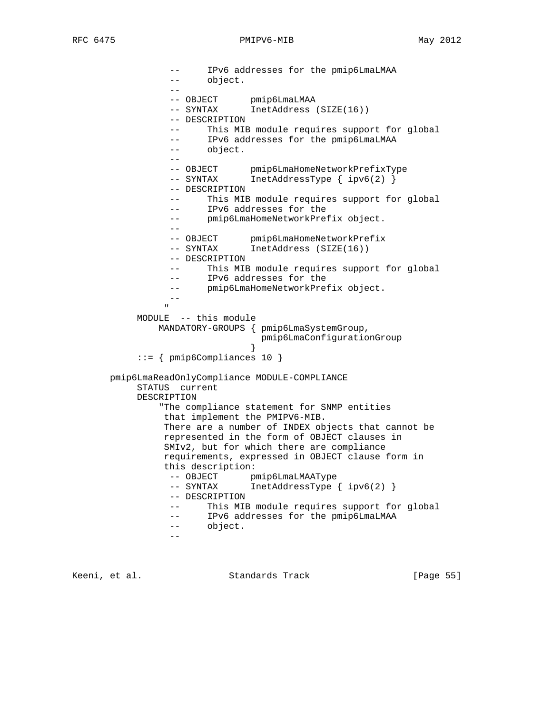-- IPv6 addresses for the pmip6LmaLMAA -- object. -- -- OBJECT pmip6LmaLMAA -- SYNTAX InetAddress (SIZE(16)) -- DESCRIPTION -- This MIB module requires support for global -- IPv6 addresses for the pmip6LmaLMAA -- object. -- -- OBJECT pmip6LmaHomeNetworkPrefixType -- OBJECT Puripormanomentes.<br>-- SYNTAX InetAddressType { ipv6(2) } -- DESCRIPTION -- This MIB module requires support for global -- IPv6 addresses for the -- pmip6LmaHomeNetworkPrefix object. -- -- OBJECT pmip6LmaHomeNetworkPrefix<br>-- SYNTAX InetAddress (SIZE(16)) InetAddress (SIZE(16)) -- DESCRIPTION -- This MIB module requires support for global -- IPv6 addresses for the -- pmip6LmaHomeNetworkPrefix object. -- " MODULE -- this module MANDATORY-GROUPS { pmip6LmaSystemGroup, pmip6LmaConfigurationGroup } ::= { pmip6Compliances 10 } pmip6LmaReadOnlyCompliance MODULE-COMPLIANCE STATUS current DESCRIPTION "The compliance statement for SNMP entities that implement the PMIPV6-MIB. There are a number of INDEX objects that cannot be represented in the form of OBJECT clauses in SMIv2, but for which there are compliance requirements, expressed in OBJECT clause form in this description: -- OBJECT pmip6LmaLMAAType -- SYNTAX InetAddressType { ipv6(2) } -- DESCRIPTION -- This MIB module requires support for global -- IPv6 addresses for the pmip6LmaLMAA -- object. --

Keeni, et al. Standards Track [Page 55]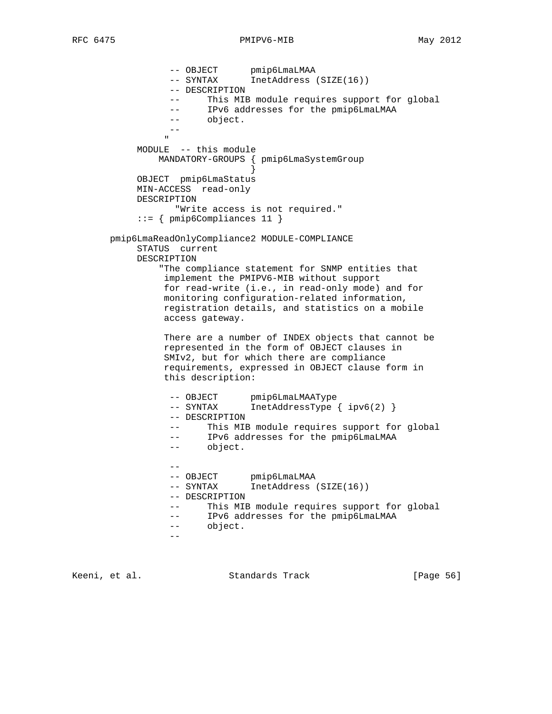```
-- OBJECT pmip6LmaLMAA
 -- SYNTAX InetAddress (SIZE(16))
                -- DESCRIPTION
                -- This MIB module requires support for global
                -- IPv6 addresses for the pmip6LmaLMAA
                -- object.
 --
 "
           MODULE -- this module
              MANDATORY-GROUPS { pmip6LmaSystemGroup
 }
           OBJECT pmip6LmaStatus
           MIN-ACCESS read-only
           DESCRIPTION
                "Write access is not required."
           ::= { pmip6Compliances 11 }
      pmip6LmaReadOnlyCompliance2 MODULE-COMPLIANCE
           STATUS current
           DESCRIPTION
              "The compliance statement for SNMP entities that
               implement the PMIPV6-MIB without support
               for read-write (i.e., in read-only mode) and for
               monitoring configuration-related information,
               registration details, and statistics on a mobile
               access gateway.
               There are a number of INDEX objects that cannot be
               represented in the form of OBJECT clauses in
               SMIv2, but for which there are compliance
               requirements, expressed in OBJECT clause form in
               this description:
-- OBJECT pmip6LmaLMAAType
 -- SYNTAX InetAddressType { ipv6(2) }
                -- DESCRIPTION
                -- This MIB module requires support for global
 -- IPv6 addresses for the pmip6LmaLMAA
 -- object.
 --
               -- OBJECT pmip6LmaLMAA<br>-- SYNTAX InetAddress
               -- SYNTAX InetAddress (SIZE(16))
                -- DESCRIPTION
                -- This MIB module requires support for global
                -- IPv6 addresses for the pmip6LmaLMAA
                -- object.
 --
```
Keeni, et al. Standards Track [Page 56]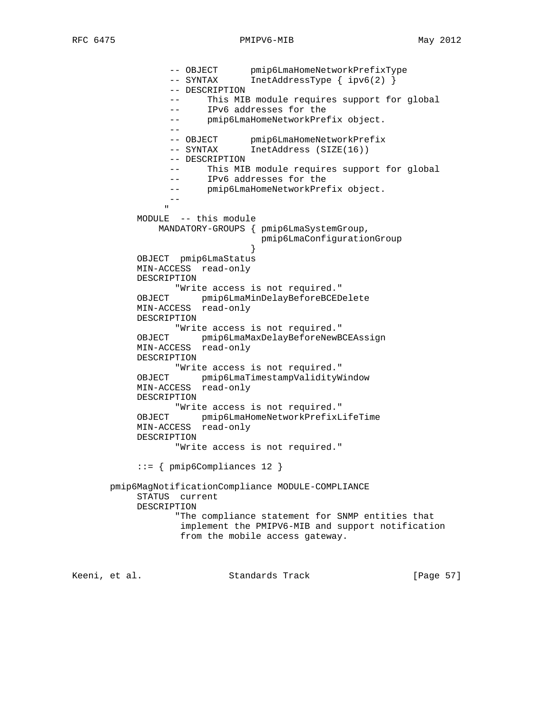-- OBJECT pmip6LmaHomeNetworkPrefixType -- SYNTAX InetAddressType { ipv6(2) } -- DESCRIPTION -- This MIB module requires support for global -- IPv6 addresses for the -- pmip6LmaHomeNetworkPrefix object. -- -- OBJECT pmip6LmaHomeNetworkPrefix -- SYNTAX InetAddress (SIZE(16)) -- DESCRIPTION -- This MIB module requires support for global -- IPv6 addresses for the -- pmip6LmaHomeNetworkPrefix object. -- " MODULE -- this module MANDATORY-GROUPS { pmip6LmaSystemGroup, pmip6LmaConfigurationGroup } OBJECT pmip6LmaStatus MIN-ACCESS read-only DESCRIPTION "Write access is not required." OBJECT pmip6LmaMinDelayBeforeBCEDelete MIN-ACCESS read-only DESCRIPTION "Write access is not required." OBJECT pmip6LmaMaxDelayBeforeNewBCEAssign MIN-ACCESS read-only DESCRIPTION "Write access is not required." OBJECT pmip6LmaTimestampValidityWindow MIN-ACCESS read-only DESCRIPTION "Write access is not required." OBJECT pmip6LmaHomeNetworkPrefixLifeTime MIN-ACCESS read-only DESCRIPTION "Write access is not required." ::= { pmip6Compliances 12 } pmip6MagNotificationCompliance MODULE-COMPLIANCE STATUS current DESCRIPTION "The compliance statement for SNMP entities that implement the PMIPV6-MIB and support notification from the mobile access gateway.

Keeni, et al. Standards Track [Page 57]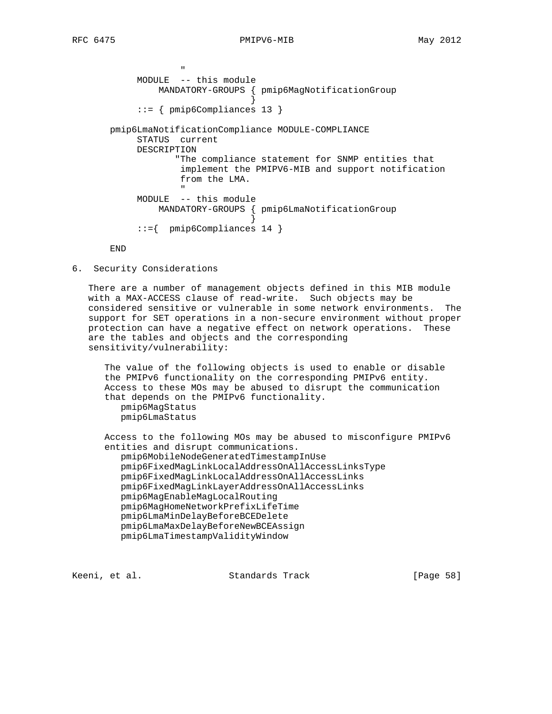```
 "
          MODULE -- this module
              MANDATORY-GROUPS { pmip6MagNotificationGroup
 }
          ::= { pmip6Compliances 13 }
      pmip6LmaNotificationCompliance MODULE-COMPLIANCE
          STATUS current
          DESCRIPTION
                "The compliance statement for SNMP entities that
                 implement the PMIPV6-MIB and support notification
                 from the LMA.
 "
          MODULE -- this module
             MANDATORY-GROUPS { pmip6LmaNotificationGroup
 }
          ::={ pmip6Compliances 14 }
```
END

6. Security Considerations

 There are a number of management objects defined in this MIB module with a MAX-ACCESS clause of read-write. Such objects may be considered sensitive or vulnerable in some network environments. The support for SET operations in a non-secure environment without proper protection can have a negative effect on network operations. These are the tables and objects and the corresponding sensitivity/vulnerability:

 The value of the following objects is used to enable or disable the PMIPv6 functionality on the corresponding PMIPv6 entity. Access to these MOs may be abused to disrupt the communication that depends on the PMIPv6 functionality. pmip6MagStatus pmip6LmaStatus

 Access to the following MOs may be abused to misconfigure PMIPv6 entities and disrupt communications.

 pmip6MobileNodeGeneratedTimestampInUse pmip6FixedMagLinkLocalAddressOnAllAccessLinksType pmip6FixedMagLinkLocalAddressOnAllAccessLinks pmip6FixedMagLinkLayerAddressOnAllAccessLinks pmip6MagEnableMagLocalRouting pmip6MagHomeNetworkPrefixLifeTime pmip6LmaMinDelayBeforeBCEDelete pmip6LmaMaxDelayBeforeNewBCEAssign pmip6LmaTimestampValidityWindow

Keeni, et al. Standards Track [Page 58]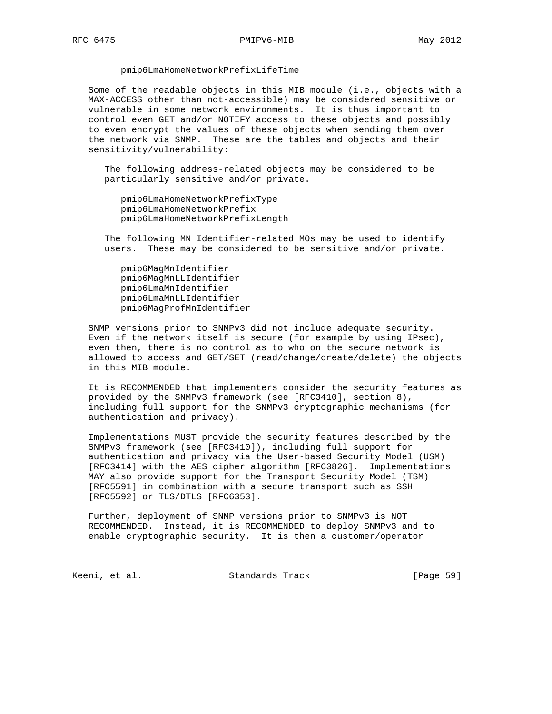#### pmip6LmaHomeNetworkPrefixLifeTime

 Some of the readable objects in this MIB module (i.e., objects with a MAX-ACCESS other than not-accessible) may be considered sensitive or vulnerable in some network environments. It is thus important to control even GET and/or NOTIFY access to these objects and possibly to even encrypt the values of these objects when sending them over the network via SNMP. These are the tables and objects and their sensitivity/vulnerability:

 The following address-related objects may be considered to be particularly sensitive and/or private.

 pmip6LmaHomeNetworkPrefixType pmip6LmaHomeNetworkPrefix pmip6LmaHomeNetworkPrefixLength

 The following MN Identifier-related MOs may be used to identify users. These may be considered to be sensitive and/or private.

 pmip6MagMnIdentifier pmip6MagMnLLIdentifier pmip6LmaMnIdentifier pmip6LmaMnLLIdentifier pmip6MagProfMnIdentifier

 SNMP versions prior to SNMPv3 did not include adequate security. Even if the network itself is secure (for example by using IPsec), even then, there is no control as to who on the secure network is allowed to access and GET/SET (read/change/create/delete) the objects in this MIB module.

 It is RECOMMENDED that implementers consider the security features as provided by the SNMPv3 framework (see [RFC3410], section 8), including full support for the SNMPv3 cryptographic mechanisms (for authentication and privacy).

 Implementations MUST provide the security features described by the SNMPv3 framework (see [RFC3410]), including full support for authentication and privacy via the User-based Security Model (USM) [RFC3414] with the AES cipher algorithm [RFC3826]. Implementations MAY also provide support for the Transport Security Model (TSM) [RFC5591] in combination with a secure transport such as SSH [RFC5592] or TLS/DTLS [RFC6353].

 Further, deployment of SNMP versions prior to SNMPv3 is NOT RECOMMENDED. Instead, it is RECOMMENDED to deploy SNMPv3 and to enable cryptographic security. It is then a customer/operator

Keeni, et al. Standards Track [Page 59]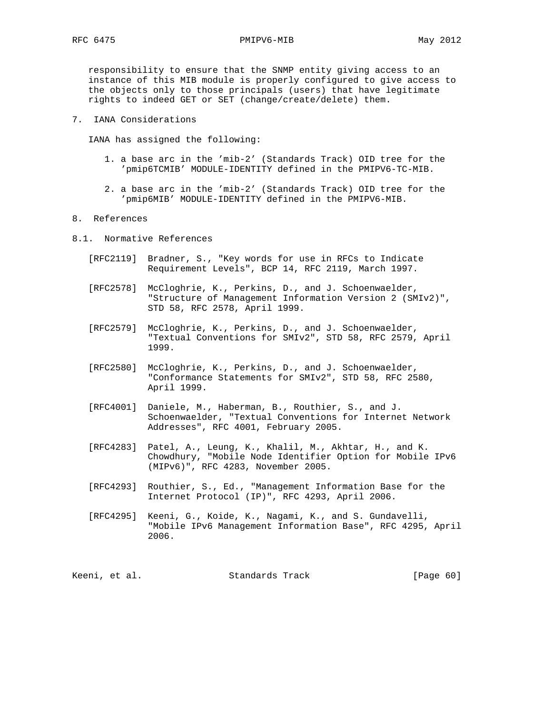responsibility to ensure that the SNMP entity giving access to an instance of this MIB module is properly configured to give access to the objects only to those principals (users) that have legitimate rights to indeed GET or SET (change/create/delete) them.

7. IANA Considerations

IANA has assigned the following:

- 1. a base arc in the 'mib-2' (Standards Track) OID tree for the 'pmip6TCMIB' MODULE-IDENTITY defined in the PMIPV6-TC-MIB.
- 2. a base arc in the 'mib-2' (Standards Track) OID tree for the 'pmip6MIB' MODULE-IDENTITY defined in the PMIPV6-MIB.

#### 8. References

- 8.1. Normative References
	- [RFC2119] Bradner, S., "Key words for use in RFCs to Indicate Requirement Levels", BCP 14, RFC 2119, March 1997.
	- [RFC2578] McCloghrie, K., Perkins, D., and J. Schoenwaelder, "Structure of Management Information Version 2 (SMIv2)", STD 58, RFC 2578, April 1999.
	- [RFC2579] McCloghrie, K., Perkins, D., and J. Schoenwaelder, "Textual Conventions for SMIv2", STD 58, RFC 2579, April 1999.
	- [RFC2580] McCloghrie, K., Perkins, D., and J. Schoenwaelder, "Conformance Statements for SMIv2", STD 58, RFC 2580, April 1999.
	- [RFC4001] Daniele, M., Haberman, B., Routhier, S., and J. Schoenwaelder, "Textual Conventions for Internet Network Addresses", RFC 4001, February 2005.
	- [RFC4283] Patel, A., Leung, K., Khalil, M., Akhtar, H., and K. Chowdhury, "Mobile Node Identifier Option for Mobile IPv6 (MIPv6)", RFC 4283, November 2005.
	- [RFC4293] Routhier, S., Ed., "Management Information Base for the Internet Protocol (IP)", RFC 4293, April 2006.
	- [RFC4295] Keeni, G., Koide, K., Nagami, K., and S. Gundavelli, "Mobile IPv6 Management Information Base", RFC 4295, April 2006.

| Keeni, et al. | Standards Track | [Page 60] |
|---------------|-----------------|-----------|
|---------------|-----------------|-----------|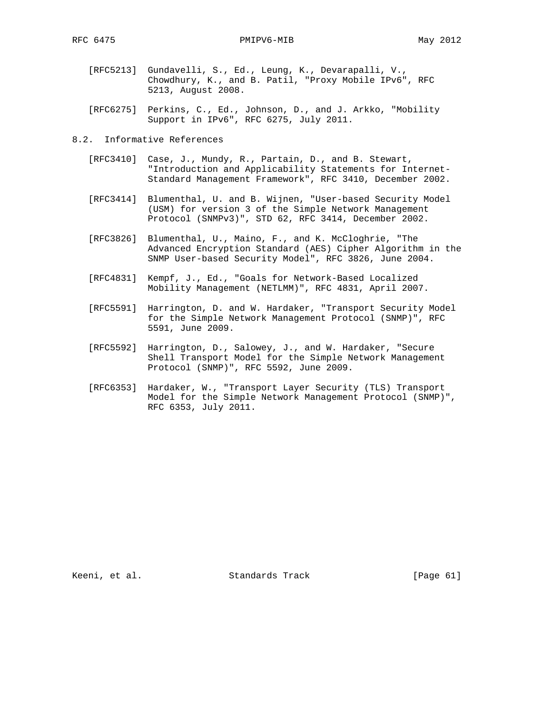- [RFC5213] Gundavelli, S., Ed., Leung, K., Devarapalli, V., Chowdhury, K., and B. Patil, "Proxy Mobile IPv6", RFC 5213, August 2008.
- [RFC6275] Perkins, C., Ed., Johnson, D., and J. Arkko, "Mobility Support in IPv6", RFC 6275, July 2011.
- 8.2. Informative References
	- [RFC3410] Case, J., Mundy, R., Partain, D., and B. Stewart, "Introduction and Applicability Statements for Internet- Standard Management Framework", RFC 3410, December 2002.
	- [RFC3414] Blumenthal, U. and B. Wijnen, "User-based Security Model (USM) for version 3 of the Simple Network Management Protocol (SNMPv3)", STD 62, RFC 3414, December 2002.
	- [RFC3826] Blumenthal, U., Maino, F., and K. McCloghrie, "The Advanced Encryption Standard (AES) Cipher Algorithm in the SNMP User-based Security Model", RFC 3826, June 2004.
	- [RFC4831] Kempf, J., Ed., "Goals for Network-Based Localized Mobility Management (NETLMM)", RFC 4831, April 2007.
	- [RFC5591] Harrington, D. and W. Hardaker, "Transport Security Model for the Simple Network Management Protocol (SNMP)", RFC 5591, June 2009.
	- [RFC5592] Harrington, D., Salowey, J., and W. Hardaker, "Secure Shell Transport Model for the Simple Network Management Protocol (SNMP)", RFC 5592, June 2009.
	- [RFC6353] Hardaker, W., "Transport Layer Security (TLS) Transport Model for the Simple Network Management Protocol (SNMP)", RFC 6353, July 2011.

Keeni, et al. Standards Track [Page 61]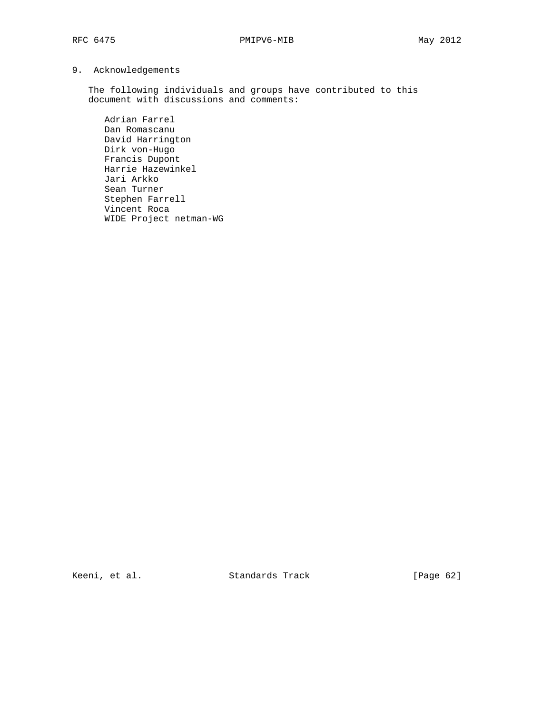# 9. Acknowledgements

 The following individuals and groups have contributed to this document with discussions and comments:

 Adrian Farrel Dan Romascanu David Harrington Dirk von-Hugo Francis Dupont Harrie Hazewinkel Jari Arkko Sean Turner Stephen Farrell Vincent Roca WIDE Project netman-WG

Keeni, et al. Standards Track [Page 62]